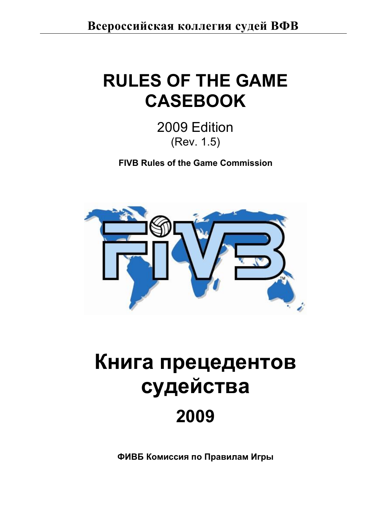# **RULES OF THE GAME CASEBOOK**

2009 Edition (Rev. 1.5)

**FIVB Rules of the Game Commission**



# Книга прецедентов судейства **2009**

ФИВБ Комиссия по Правилам Игры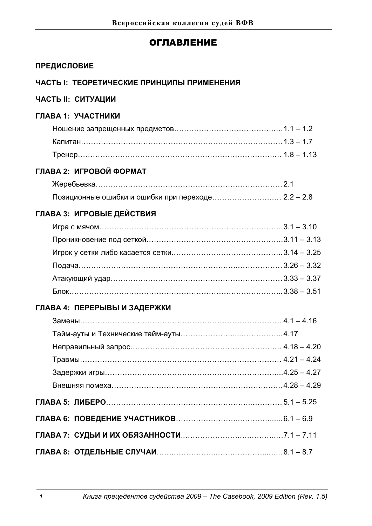# **ОГЛАВЛЕНИЕ**

# ПРЕДИСЛОВИЕ

# ЧАСТЬ І: ТЕОРЕТИЧЕСКИЕ ПРИНЦИПЫ ПРИМЕНЕНИЯ

# ЧАСТЬ II: СИТУАЦИИ

# $\Gamma$ ЛАВА 1: УЧАСТНИКИ

| Капитан……………………………………………………………………………… 1.3 – 1.7 |  |
|-------------------------------------------------|--|
|                                                 |  |

# **ȽɅȺȼȺ2ɂȽɊɈȼɈɃɎɈɊɆȺɌ**

| Позиционные ошибки и ошибки при переходе 2.2 - 2.8 |  |
|----------------------------------------------------|--|

# **ȽɅȺȼȺ3ɂȽɊɈȼɕȿȾȿɃɋɌȼɂə**

| $5.338 - 3.51$ |  |
|----------------|--|

# ГЛАВА 4: ПЕРЕРЫВЫ И ЗАДЕРЖКИ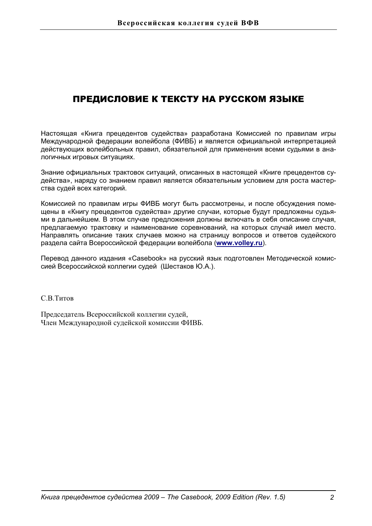# ПРЕДИСЛОВИЕ К ТЕКСТУ НА РУССКОМ ЯЗЫКЕ

Настоящая «Книга прецедентов судейства» разработана Комиссией по правилам игры Международной федерации волейбола (ФИВБ) и является официальной интерпретацией действующих волейбольных правил, обязательной для применения всеми судьями в аналогичных игровых ситуациях.

Знание официальных трактовок ситуаций, описанных в настоящей «Книге прецедентов судейства», наряду со знанием правил является обязательным условием для роста мастерства судей всех категорий.

Комиссией по правилам игры ФИВБ могут быть рассмотрены, и после обсуждения помещены в «Книгу прецедентов судейства» другие случаи, которые будут предложены судьями в дальнейшем. В этом случае предложения должны включать в себя описание случая, предлагаемую трактовку и наименование соревнований, на которых случай имел место. Направлять описание таких случаев можно на страницу вопросов и ответов судейского раздела сайта Всероссийской федерации волейбола (www.volley.ru).

Перевод данного издания «Casebook» на русский язык подготовлен Методической комиссией Всероссийской коллегии судей (Шестаков Ю.А.).

C B THTOB

Председатель Всероссийской коллегии судей, Член Международной судейской комиссии ФИВБ.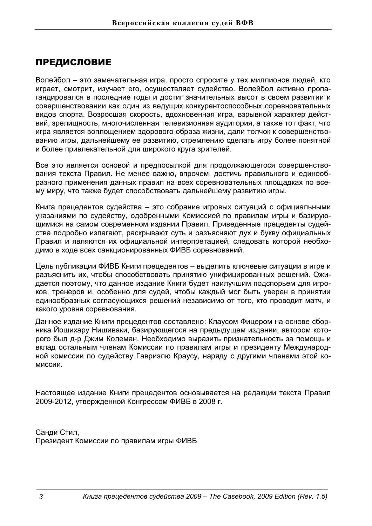# ПРЕДИСЛОВИЕ

Волейбол – это замечательная игра, просто спросите у тех миллионов людей, кто играет, смотрит, изучает его, осуществляет судейство. Волейбол активно пропагандировался в последние годы и достиг значительных высот в своем развитии и совершенствовании как один из ведущих конкурентоспособных соревновательных видов спорта. Возросшая скорость, вдохновенная игра, взрывной характер действий, зрелищность, многочисленная телевизионная аудитория, а также тот факт, что игра является воплощением здорового образа жизни, дали толчок к совершенствованию игры, дальнейшему ее развитию, стремлению сделать игру более понятной и более привлекательной для широкого круга зрителей.

Все это является основой и предпосылкой для продолжающегося совершенствования текста Правил. Не менее важно, впрочем, достичь правильного и единообразного применения данных правил на всех соревновательных площадках по всему миру, что также будет способствовать дальнейшему развитию игры.

Книга прецедентов судейства - это собрание игровых ситуаций с официальными указаниями по судейству, одобренными Комиссией по правилам игры и базирующимися на самом современном издании Правил. Приведенные прецеденты судейства подробно излагают, раскрывают суть и разъясняют дух и букву официальных Правил и являются их официальной интерпретацией, следовать которой необходимо в ходе всех санкционированных ФИВБ соревнований.

Цель публикации ФИВБ Книги прецедентов - выделить ключевые ситуации в игре и разъяснить их, чтобы способствовать принятию унифицированных решений. Ожидается поэтому, что данное издание Книги будет наилучшим подспорьем для игроков, тренеров и, особенно для судей, чтобы каждый мог быть уверен в принятии единообразных согласующихся решений независимо от того, кто проводит матч, и какого уровня соревнования.

Данное издание Книги прецедентов составлено: Клаусом Фицером на основе сборника Йошихару Нишиваки, базирующегося на предыдущем издании, автором которого был д-р Джим Колеман. Необходимо выразить признательность за помощь и вклад остальным членам Комиссии по правилам игры и президенту Международной комиссии по судейству Гавриэлю Краусу, наряду с другими членами этой комиссии.

Настоящее издание Книги прецедентов основывается на редакции текста Правил 2009-2012, утвержденной Конгрессом ФИВБ в 2008 г.

Санди Стил, Президент Комиссии по правилам игры ФИВБ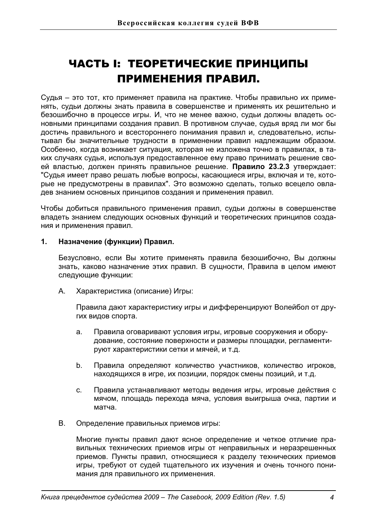# ЧАСТЬ І: ТЕОРЕТИЧЕСКИЕ ПРИНЦИПЫ ПРИМЕНЕНИЯ ПРАВИЛ.

Судья – это тот, кто применяет правила на практике. Чтобы правильно их применять, судьи должны знать правила в совершенстве и применять их решительно и безошибочно в процессе игры. И, что не менее важно, судьи должны владеть основными принципами создания правил. В противном случае, судья вряд ли мог бы достичь правильного и всестороннего понимания правил и, следовательно, испытывал бы значительные трудности в применении правил надлежащим образом. Особенно, когда возникает ситуация, которая не изложена точно в правилах, в таких случаях судья, используя предоставленное ему право принимать решение своей властью, должен принять правильное решение. Правило 23.2.3 утверждает: "Судья имеет право решать любые вопросы, касающиеся игры, включая и те, которые не предусмотрены в правилах". Это возможно сделать, только всецело овладев знанием основных принципов создания и применения правил.

Чтобы добиться правильного применения правил, судьи должны в совершенстве владеть знанием следующих основных функций и теоретических принципов создания и применения правил.

# 1. **Назначение (функции) Правил.**

Безусловно, если Вы хотите применять правила безошибочно, Вы должны знать, каково назначение этих правил. В сущности, Правила в целом имеют следующие функции:

А. Характеристика (описание) Игры:

Правила дают характеристику игры и дифференцируют Волейбол от других видов спорта.

- а. Правила оговаривают условия игры, игровые сооружения и оборудование, состояние поверхности и размеры площадки, регламентируют характеристики сетки и мячей, и т.д.
- b. Правила определяют количество участников, количество игроков, находящихся в игре, их позиции, порядок смены позиций, и т.д.
- с. Правила устанавливают методы ведения игры, игровые действия с мячом, площадь перехода мяча, условия выигрыша очка, партии и матча.
- B. Определение правильных приемов игры:

Многие пункты правил дают ясное определение и четкое отличие правильных технических приемов игры от неправильных и неразрешенных приемов. Пункты правил, относящиеся к разделу технических приемов игры, требуют от судей тщательного их изучения и очень точного понимания для правильного их применения.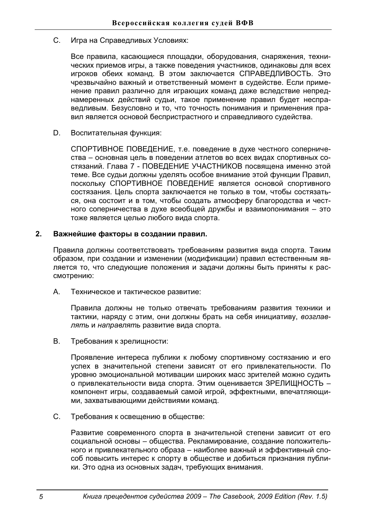С. Игра на Справедливых Условиях:

Все правила, касающиеся площадки, оборудования, снаряжения, технических приемов игры, а также поведения участников, одинаковы для всех игроков обеих команд. В этом заключается СПРАВЕДЛИВОСТЬ. Это чрезвычайно важный и ответственный момент в судействе. Если применение правил различно для играющих команд даже вследствие непреднамеренных действий судьи, такое применение правил будет несправедливым. Безусловно и то, что точность понимания и применения правил является основой беспристрастного и справедливого судейства.

D. Воспитательная функция:

СПОРТИВНОЕ ПОВЕДЕНИЕ, т.е. поведение в духе честного соперничества - основная цель в поведении атлетов во всех видах спортивных состязаний. Глава 7 - ПОВЕДЕНИЕ УЧАСТНИКОВ посвящена именно этой теме. Все судьи должны уделять особое внимание этой функции Правил, поскольку СПОРТИВНОЕ ПОВЕДЕНИЕ является основой спортивного состязания. Цель спорта заключается не только в том, чтобы состязаться, она состоит и в том, чтобы создать атмосферу благородства и честного соперничества в духе всеобщей дружбы и взаимопонимания - это тоже является целью любого вида спорта.

# 2. Важнейшие факторы в создании правил.

Правила должны соответствовать требованиям развития вида спорта. Таким образом, при создании и изменении (модификации) правил естественным является то, что следующие положения и задачи должны быть приняты к рассмотрению:

A. Техническое и тактическое развитие:

Правила должны не только отвечать требованиям развития техники и тактики, наряду с этим, они должны брать на себя инициативу, возглавлять и направлять развитие вида спорта.

В. Требования к зрелищности:

Проявление интереса публики к любому спортивному состязанию и его успех в значительной степени зависят от его привлекательности. По уровню эмоциональной мотивации широких масс зрителей можно судить о привлекательности вида спорта. Этим оценивается ЗРЕЛИЩНОСТЬ компонент игры, создаваемый самой игрой, эффектными, впечатляющими, захватывающими действиями команд.

С. Требования к освещению в обществе:

Развитие современного спорта в значительной степени зависит от его социальной основы - общества. Рекламирование, создание положительного и привлекательного образа – наиболее важный и эффективный способ повысить интерес к спорту в обществе и добиться признания публики. Это одна из основных задач, требующих внимания.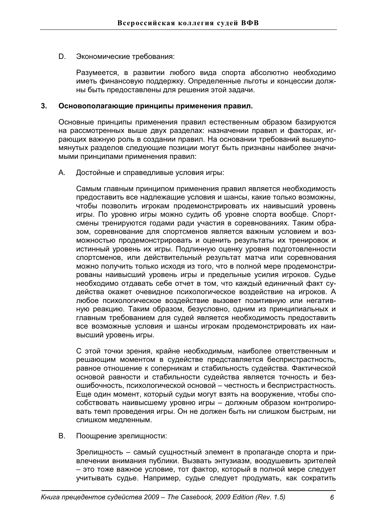D. Экономические требования:

Разумеется, в развитии любого вида спорта абсолютно необходимо иметь финансовую поддержку. Определенные льготы и концессии должны быть предоставлены для решения этой задачи.

# 3. Основополагающие принципы применения правил.

Основные принципы применения правил естественным образом базируются на рассмотренных выше двух разделах: назначении правил и факторах, играющих важную роль в создании правил. На основании требований вышеупомянутых разделов следующие позиции могут быть признаны наиболее значимыми принципами применения правил:

A. Достойные и справедливые условия игры:

Самым главным принципом применения правил является необходимость предоставить все надлежащие условия и шансы, какие только возможны, чтобы позволить игрокам продемонстрировать их наивысший уровень игры. По уровню игры можно судить об уровне спорта вообще. Спортсмены тренируются годами ради участия в соревнованиях. Таким образом, соревнование для спортсменов является важным условием и возможностью продемонстрировать и оценить результаты их тренировок и истинный уровень их игры. Подлинную оценку уровня подготовленности спортсменов, или действительный результат матча или соревнования можно получить только исходя из того, что в полной мере продемонстрированы наивысший уровень игры и предельные усилия игроков. Судье необходимо отдавать себе отчет в том, что каждый единичный факт судейства окажет очевидное психологическое воздействие на игроков. А любое психологическое воздействие вызовет позитивную или негативную реакцию. Таким образом, безусловно, одним из принципиальных и главным требованием для судей является необходимость предоставить все возможные условия и шансы игрокам продемонстрировать их наивысший уровень игры.

С этой точки зрения, крайне необходимым, наиболее ответственным и решающим моментом в судействе представляется беспристрастность, равное отношение к соперникам и стабильность судейства. Фактической • основой равности и стабильности судейства является точность и безошибочность, психологической основой - честность и беспристрастность. Еще один момент, который судьи могут взять на вооружение, чтобы способствовать наивысшему уровню игры - должным образом контролировать темп проведения игры. Он не должен быть ни слишком быстрым, ни слишком медленным.

В. Поошрение зрелишности:

Зрелищность - самый сущностный элемент в пропаганде спорта и привлечении внимания публики. Вызвать энтузиазм, воодушевить зрителей  $-$  это тоже важное условие, тот фактор, который в полной мере следует учитывать судье. Например, судье следует продумать, как сократить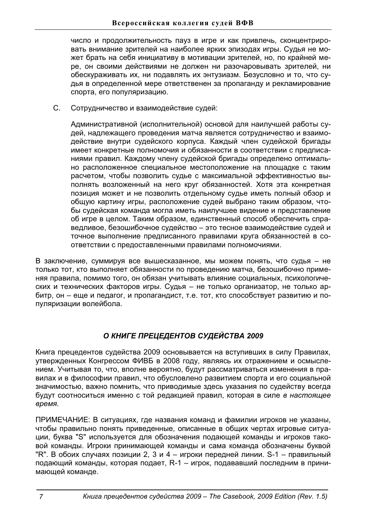число и продолжительность пауз в игре и как привлечь, сконцентрировать внимание зрителей на наиболее ярких эпизодах игры. Судья не может брать на себя инициативу в мотивации зрителей, но, по крайней мере, он своими действиями не должен ни разочаровывать зрителей, ни обескураживать их, ни подавлять их энтузиазм. Безусловно и то, что судья в определенной мере ответственен за пропаганду и рекламирование спорта, его популяризацию.

С. Сотрудничество и взаимодействие судей:

Административной (исполнительной) основой для наилучшей работы судей, надлежащего проведения матча является сотрудничество и взаимодействие внутри судейского корпуса. Каждый член судейской бригады имеет конкретные полномочия и обязанности в соответствии с предписаниями правил. Каждому члену судейской бригады определено оптимально расположенное специальное местоположение на площадке с таким расчетом, чтобы позволить судье с максимальной эффективностью выполнять возложенный на него круг обязанностей. Хотя эта конкретная позиция может и не позволить отдельному судье иметь полный обзор и общую картину игры, расположение судей выбрано таким образом, чтобы судейская команда могла иметь наилучшее видение и представление об игре в целом. Таким образом, единственный способ обеспечить справедливое, безошибочное судейство - это тесное взаимодействие судей и точное выполнение предписанного правилами круга обязанностей в соответствии с предоставленными правилами полномочиями.

В заключение, суммируя все вышесказанное, мы можем понять, что судья – не только тот, кто выполняет обязанности по проведению матча, безошибочно применяя правила, помимо того, он обязан учитывать влияние социальных, психологических и технических факторов игры. Судья - не только организатор, не только арбитр, он - еще и педагог, и пропагандист, т.е. тот, кто способствует развитию и популяризации волейбола.

# *Ɉ ɄɇɂȽȿ ɉɊȿɐȿȾȿɇɌɈȼ ɋɍȾȿɃɋɌȼȺ 2009*

Книга прецедентов судейства 2009 основывается на вступивших в силу Правилах. үтвержденных Конгрессом ФИВБ в 2008 году, являясь их отражением и осмыслением. Учитывая то, что, вполне вероятно, будут рассматриваться изменения в правилах и в философии правил, что обусловлено развитием спорта и его социальной значимостью, важно помнить, что приводимые здесь указания по судейству всегда будут соотноситься именно с той редакцией правил, которая в силе в настоящее  $$ 

ПРИМЕЧАНИЕ: В ситуациях, где названия команд и фамилии игроков не указаны, чтобы правильно понять приведенные, описанные в общих чертах игровые ситуации, буква "S" используется для обозначения подающей команды и игроков таковой команды. Игроки принимающей команды и сама команда обозначены буквой "R". В обоих случаях позиции 2, 3 и 4 - игроки передней линии. S-1 - правильный подающий команды, которая подает, R-1 - игрок, подававший последним в принимающей команде.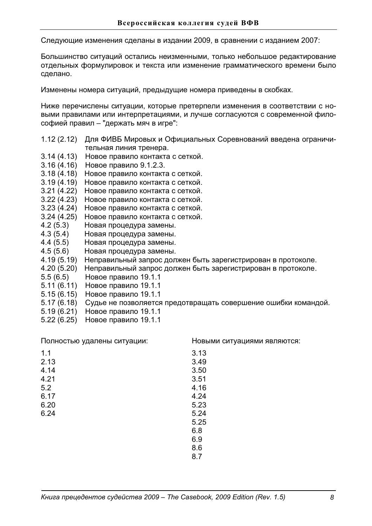Следующие изменения сделаны в издании 2009, в сравнении с изданием 2007:

Большинство ситуаций остались неизменными, только небольшое редактирование отдельных формулировок и текста или изменение грамматического времени было сделано.

Изменены номера ситуаций, предыдущие номера приведены в скобках.

Ниже перечислены ситуации, которые претерпели изменения в соответствии с новыми правилами или интерпретациями, и лучше согласуются с современной философией правил - "держать мяч в игре":

- 1.12 (2.12) Для ФИВБ Мировых и Официальных Соревнований введена ограничительная линия тренера.
- 3.14 (4.13) Новое правило контакта с сеткой.
- 3.16 (4.16) Новое правило 9.1.2.3.
- 3.18 (4.18) Новое правило контакта с сеткой.
- 3.19 (4.19) Новое правило контакта с сеткой.
- 3.21 (4.22) Новое правило контакта с сеткой.
- 3.22 (4.23) Новое правило контакта с сеткой.
- 3.23 (4.24) Новое правило контакта с сеткой.
- 3.24 (4.25) Новое правило контакта с сеткой.
- 4.2 (5.3) Новая процедура замены.
- 4.3 (5.4) Новая процедура замены.<br>4.4 (5.5) Новая процедура замены.
- Новая процедура замены.
- 4.5 (5.6) Новая процедура замены.<br>4.19 (5.19) Неправильный запрос дол
- Неправильный запрос должен быть зарегистрирован в протоколе.
- 4.20 (5.20) Неправильный запрос должен быть зарегистрирован в протоколе.
- 5.5 (6.5) Новое правило 19.1.1
- 5.11 (6.11) Новое правило 19.1.1
- 5.15 (6.15) Новое правило 19.1.1
- 5.17 (6.18) Судье не позволяется предотвращать совершение ошибки командой.
- 5.19 (6.21) Новое правило 19.1.1
- 5.22 (6.25) Новое правило 19.1.1

Полностью удалены ситуации:

Новыми ситуациями являются:

| 1.1  | 3.13 |
|------|------|
| 2.13 | 3.49 |
| 4.14 | 3.50 |
| 4.21 | 3.51 |
| 5.2  | 4.16 |
| 6.17 | 4.24 |
| 6.20 | 5.23 |
| 6.24 | 5.24 |
|      | 5.25 |
|      | 6.8  |
|      | 6.9  |
|      | 8.6  |
|      | 8.7  |
|      |      |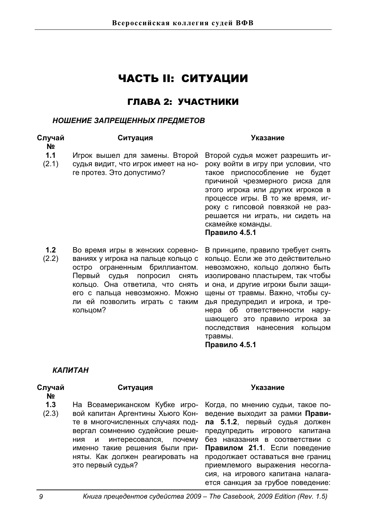# ЧАСТЬ II: СИТУАЦИИ

# ГЛАВА 2: УЧАСТНИКИ

# **НОШЕНИЕ ЗАПРЕЩЕННЫХ ПРЕДМЕТОВ**

| Случай<br>Nº | Ситуация                                                                                                                                                                                                                                                        | Указание                                                                                                                                                                                                                                                                                                                          |
|--------------|-----------------------------------------------------------------------------------------------------------------------------------------------------------------------------------------------------------------------------------------------------------------|-----------------------------------------------------------------------------------------------------------------------------------------------------------------------------------------------------------------------------------------------------------------------------------------------------------------------------------|
| 1.1<br>(2.1) | Игрок вышел для замены. Второй<br>судья видит, что игрок имеет на но-<br>ге протез. Это допустимо?                                                                                                                                                              | Второй судья может разрешить иг-<br>року войти в игру при условии, что<br>такое приспособление не будет<br>причиной чрезмерного риска для<br>этого игрока или других игроков в<br>процессе игры. В то же время, иг-<br>року с гипсовой повязкой не раз-<br>решается ни играть, ни сидеть на<br>скамейке команды.<br>Правило 4.5.1 |
| 1.2<br>(2.2) | Во время игры в женских соревно-<br>ваниях у игрока на пальце кольцо с<br>остро ограненным бриллиантом.<br>Первый судья<br>попросил<br>СНЯТЬ<br>кольцо. Она ответила, что снять<br>его с пальца невозможно. Можно<br>ли ей позволить играть с таким<br>кольцом? | В принципе, правило требует снять<br>кольцо. Если же это действительно<br>невозможно, кольцо должно быть<br>изолировано пластырем, так чтобы<br>и она, и другие игроки были защи-<br>щены от травмы. Важно, чтобы су-<br>дья предупредил и игрока, и тре-<br>об ответственности<br>нару-<br>нера<br>шающего это правило игрока за |

травмы. Правило 4.5.1

# **КАПИТАН**

### **Случай ʋ**

**1.3**  (2.3) На Всеамериканском Кубке игровой капитан Аргентины Хьюго Конте в многочисленных случаях подвергал сомнению судейские решения и интересовался, почему именно такие решения были приняты. Как должен реагировать на это первый судья?

# Ситуация Указание

последствия нанесения кольцом

Когда, по мнению судьи, такое поведение выходит за рамки Правила 5.1.2, первый судья должен предупредить игрового капитана без наказания в соответствии с Правилом 21.1. Если поведение продолжает оставаться вне границ приемлемого выражения несогласия, на игрового капитана налагается санкция за грубое поведение: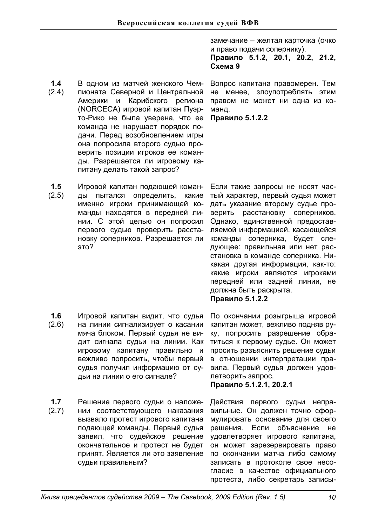замечание - желтая карточка (очко и право подачи сопернику).

Правило 5.1.2, 20.1, 20.2, 21.2,  $Cxema<sub>9</sub>$ 

Вопрос капитана правомерен. Тем не менее, злоупотреблять этим правом не может ни одна из команд.

Правило 5.1.2.2

**1.5**  (2.5) Игровой капитан подающей команды пытался определить, какие именно игроки принимающей команды находятся в передней линии. С этой целью он попросил первого судью проверить расстановку соперников. Разрешается ли это?

питану делать такой запрос?

В одном из матчей женского Чемпионата Северной и Центральной Америки и Карибского региона (NORCECA) игровой капитан Пуэрто-Рико не была уверена, что ее команда не нарушает порядок подачи. Перед возобновлением игры она попросила второго судью проверить позиции игроков ее команды. Разрешается ли игровому ка-

**1.4**  (2.4)

> Если такие запросы не носят частый характер, первый судья может дать указание второму судье проверить расстановку соперников. Однако, единственной предоставляемой информацией, касающейся команды соперника, будет следующее: правильная или нет расстановка в команде соперника. Никакая другая информация, как-то: какие игроки являются игроками передней или задней линии, не должна быть раскрыта.

- Правило 5.1.2.2
- **1.6**  (2.6) Игровой капитан видит, что судья на линии сигнализирует о касании мяча блоком. Первый судья не видит сигнала судьи на линии. Как игровому капитану правильно и вежливо попросить, чтобы первый судья получил информацию от судьи на линии о его сигнале?
- **1.7**  (2.7) Решение первого судьи о наложении соответствующего наказания вызвало протест игрового капитана подающей команды. Первый судья заявил, что судейское решение окончательное и протест не будет принят. Является ли это заявление судьи правильным?

По окончании розыгрыша игровой капитан может, вежливо подняв руку, попросить разрешение обратиться к первому судье. Он может просить разъяснить решение судьи в отношении интерпретации правила. Первый судья должен удовлетворить запрос.

**ɉɪɚɜɢɥɨ 5.1.2.1, 20.2.1**

Действия первого судьи неправильные. Он должен точно сформулировать основание для своего решения. Если объяснение не удовлетворяет игрового капитана, он может зарезервировать право по окончании матча либо самому записать в протоколе свое несогласие в качестве официального протеста, либо секретарь записы-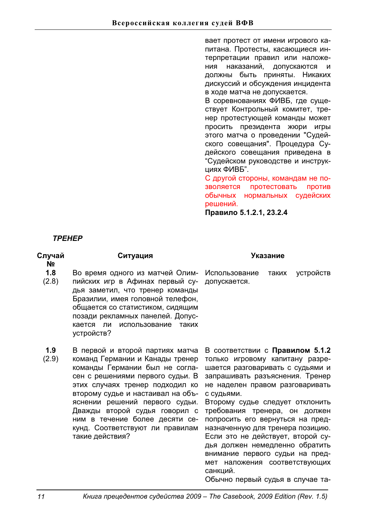вает протест от имени игрового капитана. Протесты, касающиеся интерпретации правил или наложения наказаний, допускаются и должны быть приняты. Никаких дискуссий и обсуждения инцидента в ходе матча не допускается.

В соревнованиях ФИВБ, где существует Контрольный комитет, тренер протестующей команды может просить президента жюри игры этого матча о проведении "Судейского совещания". Процедура Судейского совещания приведена в "Судейском руководстве и инструкциях ФИВБ".

С другой стороны, командам не позволяется протестовать против обычных нормальных судейских решений.

Правило 5.1.2.1, 23.2.4

*ɌɊȿɇȿɊ*

| Случай<br>N <sub>2</sub> | Ситуация                                                                                                                                                                                                                                                                                                                                                                    | Указание                                                                                                                                                                                                                                                                                                                                                                                                                                                                                                                          |
|--------------------------|-----------------------------------------------------------------------------------------------------------------------------------------------------------------------------------------------------------------------------------------------------------------------------------------------------------------------------------------------------------------------------|-----------------------------------------------------------------------------------------------------------------------------------------------------------------------------------------------------------------------------------------------------------------------------------------------------------------------------------------------------------------------------------------------------------------------------------------------------------------------------------------------------------------------------------|
| 1.8<br>(2.8)             | Во время одного из матчей Олим-<br>пийских игр в Афинах первый су-<br>дья заметил, что тренер команды<br>Бразилии, имея головной телефон,<br>общается со статистиком, сидящим<br>позади рекламных панелей. Допус-<br>использование<br>кается<br>ли<br>таких<br>устройств?                                                                                                   | Использование<br>устройств<br>таких<br>допускается.                                                                                                                                                                                                                                                                                                                                                                                                                                                                               |
| 1.9<br>(2.9)             | В первой и второй партиях матча<br>команд Германии и Канады тренер<br>команды Германии был не согла-<br>сен с решениями первого судьи. В<br>этих случаях тренер подходил ко<br>второму судье и настаивал на объ-<br>яснении решений первого судьи.<br>Дважды второй судья говорил с<br>ним в течение более десяти се-<br>кунд. Соответствуют ли правилам<br>такие действия? | В соответствии с Правилом 5.1.2<br>только игровому капитану разре-<br>шается разговаривать с судьями и<br>запрашивать разъяснения. Тренер<br>не наделен правом разговаривать<br>с судьями.<br>Второму судье следует отклонить<br>требования тренера, он должен<br>попросить его вернуться на пред-<br>назначенную для тренера позицию.<br>Если это не действует, второй су-<br>дья должен немедленно обратить<br>внимание первого судьи на пред-<br>мет наложения соответствующих<br>санкций.<br>Обычно первый судья в случае та- |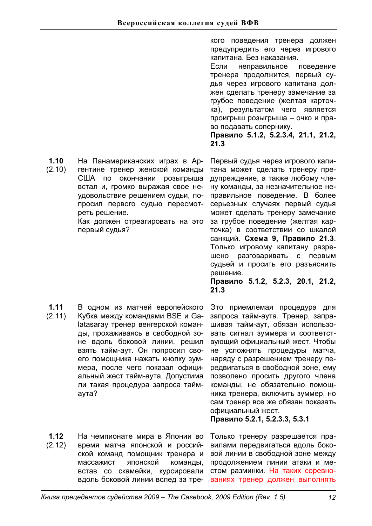**1.10**  (2.10) На Панамериканских играх в Аргентине тренер женской команды США по окончании розыгрыша встал и, громко выражая свое неудовольствие решением судьи, попросил первого судью пересмотреть решение.

> Как должен отреагировать на это первый судья?

**1.11**  (2.11) В одном из матчей европейского Кубка между командами BSE и Galatasaray тренер венгерской команды, прохаживаясь в свободной зоне вдоль боковой линии, решил взять тайм-аут. Он попросил своего помощника нажать кнопку зуммера, после чего показал официальный жест тайм-аута. Допустима ли такая процедура запроса таймav<sub>Ta</sub>?

**1.12**  (2.12) На чемпионате мира в Японии во время матча японской и российской команд помощник тренера и массажист японской команды. встав со скамейки, курсировали вдоль боковой линии вслед за тре-

кого поведения тренера должен предупредить его через игрового капитана. Без наказания.

Если неправильное поведение тренера продолжится, первый судья через игрового капитана должен сделать тренеру замечание за грубое поведение (желтая карточка), результатом чего является проигрыш розыгрыша - очко и право подавать сопернику.

**ɉɪɚɜɢɥɨ 5.1.2, 5.2.3.4, 21.1, 21.2, 21.3** 

Первый судья через игрового капитана может сделать тренеру предупреждение, а также любому члену команды, за незначительное неправильное поведение. В более серьезных случаях первый судья может сделать тренеру замечание за грубое поведение (желтая карточка) в соответствии со шкалой санкций. Схема 9, Правило 21.3. Только игровому капитану разрешено разговаривать с первым судьей и просить его разъяснить решение. Правило 5.1.2, 5.2.3, 20.1, 21.2, **21.3**

Это приемлемая процедура для запроса тайм-аута. Тренер, запрашивая тайм-аут, обязан использовать сигнал зуммера и соответствующий официальный жест. Чтобы не усложнять процедуры матча, наряду с разрешением тренеру передвигаться в свободной зоне, ему позволено просить другого члена команды, не обязательно помощника тренера, включить зуммер, но сам тренер все же обязан показать официальный жест.

**ɉɪɚɜɢɥɨ 5.2.1, 5.2.3.3, 5.3.1** 

Только тренеру разрешается правилами передвигаться вдоль боковой линии в свободной зоне между продолжением линии атаки и местом разминки. На таких соревнованиях тренер должен выполнять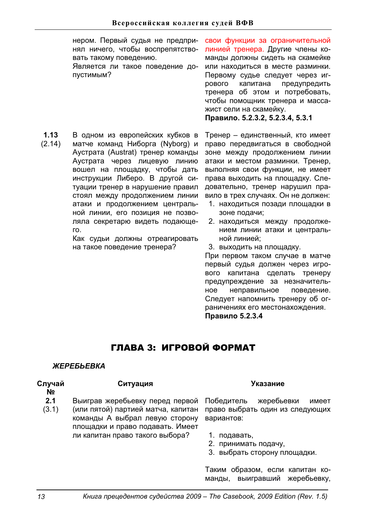нером. Первый судья не предпринял ничего, чтобы воспрепятствовать такому поведению.

Является ли такое поведение допустимым?

свои функции за ограничительной линией тренера. Другие члены команды должны сидеть на скамейке или находиться в месте разминки. Первому судье следует через игрового капитана предупредить тренера об этом и потребовать, чтобы помощник тренера и массажист сели на скамейку.

Правило. 5.2.3.2, 5.2.3.4, 5.3.1

**1.13**  (2.14) В одном из европейских кубков в матче команд Ниборга (Nyborg) и Аустрата (Austrat) тренер команды Аустрата через лицевую линию вошел на плошадку, чтобы дать инструкции Либеро. В другой ситуации тренер в нарушение правил стоял между продолжением линии атаки и продолжением центральной линии, его позиция не позволяла секретарю видеть подающе- $FQ_{\perp}$ 

Как судьи должны отреагировать на такое поведение тренера?

Тренер - единственный, кто имеет право передвигаться в свободной зоне между продолжением линии атаки и местом разминки. Тренер, выполняя свои функции, не имеет права выходить на площадку. Следовательно, тренер нарушил правило в трех случаях. Он не должен:

- 1. находиться позади площадки в зоне подачи;
- 2. находиться между продолжением линии атаки и центральной линией:
- 3. выходить на площадку.

При первом таком случае в матче первый судья должен через игрового капитана сделать тренеру предупреждение за незначительное неправильное поведение. Следует напомнить тренеру об ограничениях его местонахождения. **Правило 5.2.3.4** 

# ГЛАВА 3: ИГРОВОЙ ФОРМАТ

# **ЖЕРЕБЬЕВКА**

# Сл**учай**

# Ситуация Указание

- **ʋ**
- **2.1**  Выиграв жеребьевку перед первой
- (3.1) (или пятой) партией матча, капитан команды А выбрал левую сторону площадки и право подавать. Имеет ли капитан право такого выбора?

Победитель жеребьевки имеет право выбрать один из следующих вариантов:

- 1. подавать,
- 2. принимать подачу,
- 3. выбрать сторону площадки.

Таким образом, если капитан команды, выигравший жеребьевку,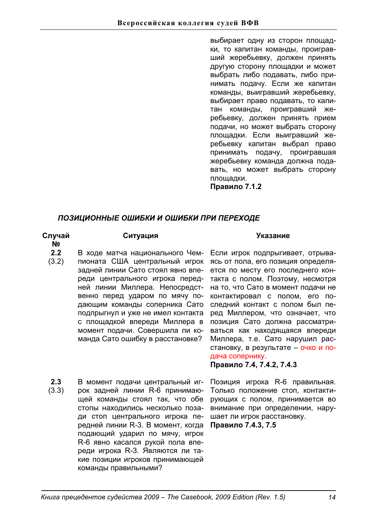выбирает одну из сторон площадки, то капитан команды, проигравший жеребьевку, должен принять другую сторону площадки и может выбрать либо подавать, либо принимать подачу. Если же капитан команды, выигравший жеребьевку, выбирает право подавать, то капитан команды, проигравший жеребьевку, должен принять прием подачи, но может выбрать сторону площадки. Если выигравший жеребьевку капитан выбрал право принимать подачу, проигравшая жеребьевку команда должна подавать, но может выбрать сторону площадки.

Правило 7.1.2

# ПОЗИЦИОННЫЕ ОШИБКИ И ОШИБКИ ПРИ ПЕРЕХОДЕ

| Случай<br>N <sub>2</sub> | Ситуация                                                                                                                                                                                                                                                                                                                                                                                   |  |  |
|--------------------------|--------------------------------------------------------------------------------------------------------------------------------------------------------------------------------------------------------------------------------------------------------------------------------------------------------------------------------------------------------------------------------------------|--|--|
| 2.2<br>(3.2)             | В ходе матча национального Чем-<br>пионата США центральный игрок<br>задней линии Сато стоял явно впе-<br>реди центрального игрока перед-<br>ней линии Миллера. Непосредст-<br>венно перед ударом по мячу по-<br>дающим команды соперника Сато<br>подпрыгнул и уже не имел контакта<br>с площадкой впереди Миллера в<br>момент подачи. Совершила ли ко-<br>манда Сато ошибку в расстановке? |  |  |
|                          |                                                                                                                                                                                                                                                                                                                                                                                            |  |  |

**2.3**  (3.3) В момент подачи центральный игрок задней линии R-6 принимающей команды стоял так, что обе стопы находились несколько позади стоп центрального игрока передней линии R-3. В момент, когда Правило 7.4.3, 7.5 подающий ударил по мячу, игрок R-6 явно касался рукой пола впереди игрока R-3. Являются ли такие позиции игроков принимающей команды правильными?

# Ситуация Указание

В ходе матча национального Чем- Если игрок подпрыгивает, отрывапионата США центральный игрок ясь от пола, его позиция определязадней линии Сато стоял явно впе- ется по месту его последнего конреди центрального игрока перед- такта с полом. Поэтому, несмотря ней линии Миллера. Непосредст- на то, что Сато в момент подачи не венно перед ударом по мячу по- контактировал с полом, его подающим команды соперника Сато следний контакт с полом был пеподпрыгнул и уже не имел контакта ред Миллером, что означает, что с площадкой впереди Миллера в позиция Сато должна рассматриваться как находящаяся впереди Миллера, т.е. Сато нарушил расстановку, в результате - очко и подача сопернику Правило 7.4, 7.4.2, 7.4.3

> Позиция игрока R-6 правильная. Только положение стоп, контактирующих с полом, принимается во внимание при определении, нарушает ли игрок расстановку.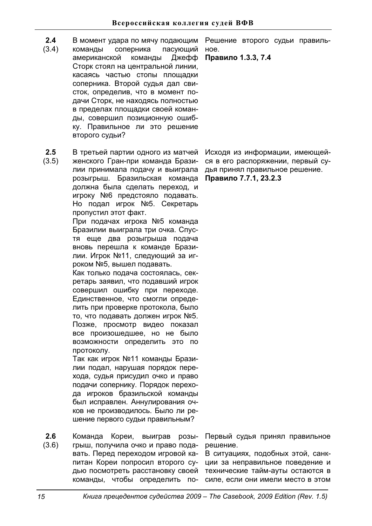- **2.4**  В момент удара по мячу подающим
- (3.4) команды соперника пасующий американской команды Джефф Сторк стоял на центральной линии, касаясь частью стопы плошадки соперника. Второй судья дал свисток, определив, что в момент подачи Сторк, не находясь полностью в пределах площадки своей команды, совершил позиционную ошибку. Правильное ли это решение второго судьи?
- **2.5**  (3.5) В третьей партии одного из матчей женского Гран-при команда Бразилии принимала подачу и выиграла розыгрыш. Бразильская команда должна была сделать переход, и игроку №6 предстояло подавать. Но подал игрок №5. Секретарь

пропустил этот факт. При подачах игрока №5 команда Бразилии выиграла три очка. Спустя еще два розыгрыша подача вновь перешла к команде Бразилии. Игрок №11, следующий за игроком №5, вышел подавать.

Как только подача состоялась, секретарь заявил, что подавший игрок совершил ошибку при переходе. Единственное, что смогли определить при проверке протокола, было то, что подавать должен игрок №5. Позже, просмотр видео показал все произошедшее, но не было возможности определить это по протоколу.

Так как игрок №11 команды Бразилии подал, нарушая порядок перехода, судья присудил очко и право подачи сопернику. Порядок перехода игроков бразильской команды был исправлен. Аннулирования очков не производилось. Было ли решение первого судьи правильным?

**2.6**  (3.6) Команда Кореи, выиграв розыгрыш, получила очко и право подавать. Перед переходом игровой капитан Кореи попросил второго судью посмотреть расстановку своей команды, чтобы определить по-

Решение второго судьи правиль-HOe.

Правило 1.3.3, 7.4

Исходя из информации, имеющейся в его распоряжении, первый судья принял правильное решение. Правило 7.7.1, 23.2.3

Первый судья принял правильное решение.

В ситуациях, подобных этой, санкции за неправильное поведение и технические тайм-ауты остаются в силе, если они имели место в этом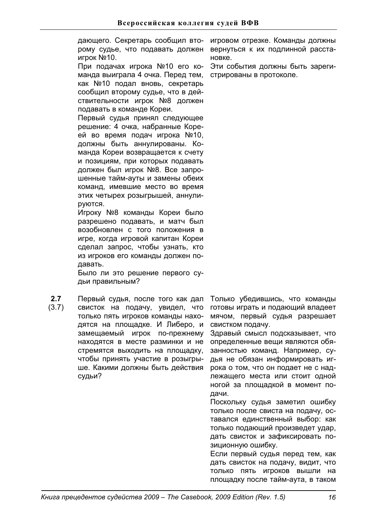дающего. Секретарь сообщил второму судье, что подавать должен игрок №10.

При подачах игрока №10 его команда выиграла 4 очка. Перед тем. как №10 подал вновь, секретарь сообщил второму судье, что в действительности игрок №8 должен подавать в команде Кореи.

Первый судья принял следующее решение: 4 очка, набранные Кореей во время подач игрока №10, должны быть аннулированы. Команда Кореи возвращается к счету и позициям, при которых подавать должен был игрок №8. Все запрошенные тайм-ауты и замены обеих команд, имевшие место во время этих четырех розыгрышей, аннулируются.

Игроку №8 команды Кореи было разрешено подавать, и матч был возобновлен с того положения в игре, когда игровой капитан Кореи сделал запрос, чтобы узнать, кто из игроков его команды должен подавать.

Было ли это решение первого судьи правильным?

**2.7**  (3.7) Первый судья, после того как дал свисток на подачу, увидел, что только пять игроков команды находятся на площадке. И Либеро, и замещаемый игрок по-прежнему находятся в месте разминки и не стремятся выходить на площадку, чтобы принять участие в розыгрыше. Какими должны быть действия судьи?

игровом отрезке. Команды должны вернуться к их подлинной расста-HOBKe.

Эти события должны быть зарегистрированы в протоколе.

Только убедившись, что команды готовы играть и подающий владеет мячом, первый судья разрешает свистком подачу.

Здравый смысл подсказывает, что определенные вещи являются обязанностью команд. Например, судья не обязан информировать игрока о том, что он подает не с надлежащего места или стоит одной ногой за площадкой в момент подачи.

Поскольку судья заметил ошибку только после свиста на подачу, оставался единственный выбор: как только подающий произведет удар, дать свисток и зафиксировать позиционную ошибку.

Если первый судья перед тем, как дать свисток на подачу, видит, что только пять игроков вышли на площадку после тайм-аута, в таком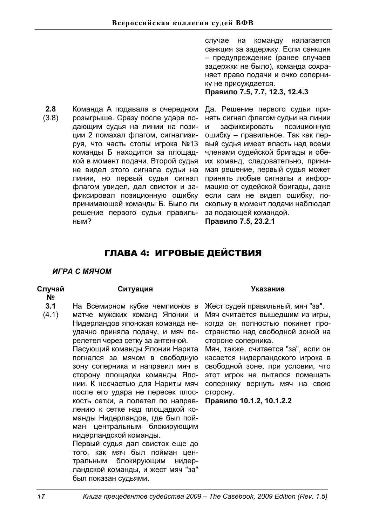случае на команду налагается санкция за задержку. Если санкция  $-$  предупреждение (ранее случаев задержки не было), команда сохраняет право подачи и очко сопернику не присуждается.

Правило 7.5, 7.7, 12.3, 12.4.3

**2.8**  (3.8) Команда А подавала в очередном розыгрыше. Сразу после удара подающим судья на линии на позиции 2 помахал флагом, сигнализируя, что часть стопы игрока №13 команды Б находится за площадкой в момент подачи. Второй судья не видел этого сигнала судьи на линии, но первый судья сигнал флагом увидел, дал свисток и зафиксировал позиционную ошибку принимающей команды Б. Было ли решение первого судьи правильным?

Да. Решение первого судьи принять сигнал флагом судьи на линии и зафиксировать позиционную ошибку - правильное. Так как первый судья имеет власть над всеми членами судейской бригады и обеих команд, следовательно, принимая решение, первый судья может принять любые сигналы и информацию от судейской бригады, даже если сам не видел ошибку, поскольку в момент подачи наблюдал за подающей командой.

# **ɉɪɚɜɢɥɨ 7.5, 23.2.1**

# ГЛАВА 4: ИГРОВЫЕ ДЕЙСТВИЯ

# *ɂȽɊȺɋɆəɑɈɆ*

# **Случай**

# Ситуация Указание

- **ʋ 3.1**  На Всемирном кубке чемпионов в
- (4.1) матче мужских команд Японии и Нидерландов японская команда неудачно приняла подачу, и мяч перелетел через сетку за антенной.

Пасующий команды Японии Нарита погнался за мячом в свободную зону соперника и направил мяч в сторону площадки команды Японии. К несчастью для Нариты мяч после его удара не пересек плоскость сетки, а полетел по направлению к сетке над площадкой команды Нидерландов, где был пойман центральным блокирующим нидерландской команды.

Первый судья дал свисток еще до того, как мяч был пойман центральным блокирующим нидерландской команды, и жест мяч "за" был показан судьями.

Жест судей правильный, мяч "за". Мяч считается вышедшим из игры, когда он полностью покинет пространство над свободной зоной на стороне соперника.

Мяч, также, считается "за", если он касается нидерландского игрока в свободной зоне, при условии, что этот игрок не пытался помешать сопернику вернуть мяч на свою сторону.

Правило 10.1.2, 10.1.2.2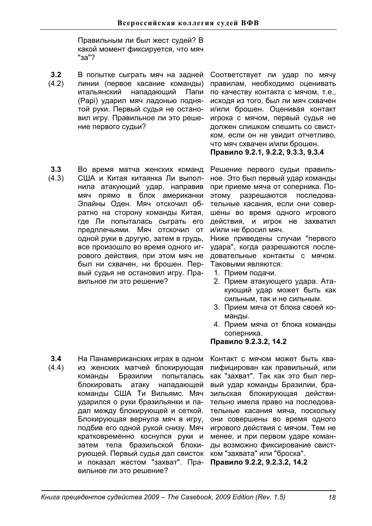Правильным ли был жест судей? В какой момент фиксируется, что мяч "<sub>3a</sub>"?

- **3.2**  (4.2) В попытке сыграть мяч на задней линии (первое касание команды) итальянский нападающий Папи (Papi) ударил мяч ладонью поднятой руки. Первый судья не остановил игру. Правильное ли это решение первого судьи?
- **3.3**  (4.3) Во время матча женских команд США и Китая китаянка Ли выполнила атакующий удар, направив мяч прямо в блок американки Элайны Оден. Мяч отскочил обратно на сторону команды Китая, где Ли попыталась сыграть его предплечьями. Мяч отскочил от одной руки в другую, затем в грудь, все произошло во время одного игрового действия, при этом мяч не был ни схвачен, ни брошен. Первый судья не остановил игру. Правильное ли это решение?

Соответствует ли удар по мячу правилам, необходимо оценивать по качеству контакта с мячом, т.е., исходя из того, был ли мяч схвачен и/или брошен. Оценивая контакт игрока с мячом, первый судья не должен слишком спешить со свистком, если он не увидит отчетливо, что мяч схвачен и/или брошен. Правило 9.2.1, 9.2.2, 9.3.3, 9.3.4

Решение первого судьи правильное. Это был первый удар команды при приеме мяча от соперника. Поэтому разрешаются последовательные касания, если они совершены во время одного игрового действия, и игрок не захватил и/или не бросил мяч.

Ниже приведены случаи "первого удара", когда разрешаются последовательные контакты с мячом. Таковыми являются:

- 1. Прием подачи.
- 2. Прием атакующего удара. Атакующий удар может быть как сильным, так и не сильным.
- 3. Прием мяча от блока своей команды.
- 4. Прием мяча от блока команды соперника.

**ɉɪɚɜɢɥɨ9.2.3.2, 14.2**

**3.4**  (4.4) На Панамериканских играх в одном из женских матчей блокирующая команды Бразилии попыталась блокировать атаку нападающей команды США Ти Вильямс. Мяч ударился о руки бразильянки и падал между блокирующей и сеткой. Блокирующая вернула мяч в игру, подбив его одной рукой снизу. Мяч кратковременно коснулся руки и затем тела бразильской блокирующей. Первый судья дал свисток и показал жестом "захват". Правильное ли это решение?

Контакт с мячом может быть квалифицирован как правильный, или как "захват". Так как это был первый удар команды Бразилии, бразильская блокирующая действительно имела право на последовательные касания мяча, поскольку они совершены во время одного игрового действия с мячом. Тем не менее, и при первом ударе команды возможно фиксирование свистком "захвата" или "броска".

Правило 9.2.2, 9.2.3.2, 14.2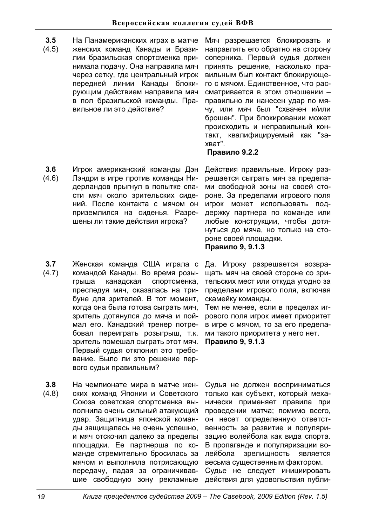- **3.5**  (4.5) На Панамериканских играх в матче женских команд Канады и Бразилии бразильская спортсменка принимала подачу. Она направила мяч через сетку, где центральный игрок передней линии Канады блокирующим действием направила мяч в пол бразильской команды. Правильное ли это действие?
- **3.6**  (4.6) Игрок американский команды Дэн Лэндри в игре против команды Нидерландов прыгнул в попытке спасти мяч около зрительских сидений. После контакта с мячом он приземлился на сиденья. Разрешены ли такие действия игрока?
- **3.7**  (4.7) Женская команда США играла с командой Канады. Во время розыгрыша канадская спортсменка, преследуя мяч, оказалась на трибуне для зрителей. В тот момент, когда она была готова сыграть мяч, зритель дотянулся до мяча и поймал его. Канадский тренер потребовал переиграть розыгрыш, т.к. зритель помешал сыграть этот мяч. Первый судья отклонил это требование. Было ли это решение первого судьи правильным?
- **3.8**  (4.8) На чемпионате мира в матче женских команд Японии и Советского Союза советская спортсменка выполнила очень сильный атакующий удар. Защитница японской команды защищалась не очень успешно, и мяч отскочил далеко за пределы площадки. Ее партнерша по команде стремительно бросилась за мячом и выполнила потрясающую передачу, падая за ограничивавшие свободную зону рекламные

Мяч разрешается блокировать и направлять его обратно на сторону соперника. Первый судья должен принять решение, насколько правильным был контакт блокирующего с мячом. Единственное, что рассматривается в этом отношении правильно ли нанесен удар по мячу, или мяч был "схвачен и/или брошен". При блокировании может происходить и неправильный контакт, квалифицируемый как "захват".

# Правило 9.2.2

Действия правильные. Игроку разрешается сыграть мяч за пределами свободной зоны на своей стороне. За пределами игрового поля игрок может использовать поддержку партнера по команде или любые конструкции, чтобы дотянуться до мяча, но только на стороне своей плошадки.

# Правило 9, 9.1.3

Да. Игроку разрешается возвращать мяч на своей стороне со зрительских мест или откуда угодно за пределами игрового поля, включая скамейку команды.

Тем не менее, если в пределах игрового поля игрок имеет приоритет в игре с мячом, то за его пределами такого приоритета у него нет. Правило 9, 9.1.3

Судья не должен восприниматься только как субъект, который механически применяет правила при проведении матча; помимо всего, он несет определенную ответственность за развитие и популяризацию волейбола как вида спорта. В пропаганде и популяризации волейбола зрелищность является весьма существенным фактором. Судье не следует инициировать

действия для удовольствия публи-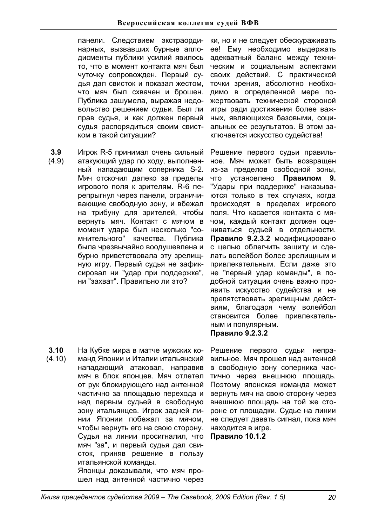панели. Следствием экстраординарных, вызвавших бурные аплодисменты публики усилий явилось то, что в момент контакта мяч был чуточку сопровожден. Первый судья дал свисток и показал жестом, что мяч был схвачен и брошен. Публика зашумела, выражая недовольство решением судьи. Был ли прав судья, и как должен первый судья распорядиться своим свистком в такой ситуации?

**3.9**  (4.9) Игрок R-5 принимал очень сильный атакующий удар по ходу, выполненный нападающим соперника S-2. Мяч отскочил далеко за пределы игрового поля к зрителям. R-6 перепрыгнул через панели, ограничивающие свободную зону, и вбежал на трибуну для зрителей, чтобы вернуть мяч. Контакт с мячом в момент удара был несколько "сомнительного" качества. Публика была чрезвычайно воодушевлена и бурно приветствовала эту зрелищную игру. Первый судья не зафиксировал ни "удар при поддержке", ни "захват". Правильно ли это?

**3.10**  (4.10) На Кубке мира в матче мужских команд Японии и Италии итальянский нападающий атаковал, направив мяч в блок японцев. Мяч отлетел от рук блокирующего над антенной частично за плошадью перехода и над первым судьей в свободную зону итальянцев. Игрок задней линии Японии побежал за мячом, чтобы вернуть его на свою сторону. Судья на линии просигналил, что мяч "за", и первый судья дал свисток, приняв решение в пользу итальянской команды. Японцы доказывали, что мяч прошел над антенной частично через

ки, но и не следует обескураживать ее! Ему необходимо выдержать адекватный баланс между техническим и социальным аспектами своих действий. С практической точки зрения, абсолютно необходимо в определенной мере пожертвовать технической стороной игры ради достижения более важных, являющихся базовыми, социальных ее результатов. В этом заключается искусство судейства!

Решение первого судьи правильное. Мяч может быть возвращен из-за пределов свободной зоны. что установлено **Правилом 9.** "Удары при поддержке" наказываются только в тех случаях, когда происходят в пределах игрового поля. Что касается контакта с мячом, каждый контакт должен оцениваться судьей в отдельности. Правило 9.2.3.2 модифицировано с целью облегчить защиту и сделать волейбол более зрелищным и привлекательным. Если даже это не "первый удар команды", в подобной ситуации очень важно проявить искусство судейства и не препятствовать зрелищным действиям, благодаря чему волейбол становится более привлекательным и популярным.

# **Правило 9.2.3.2**

Решение первого судьи неправильное. Мяч прошел над антенной в свободную зону соперника частично через внешнюю площадь. Поэтому японская команда может BeDHVTb MAY Ha CBOЮ CTODOHV YEDE3 внешнюю площадь на той же стороне от площадки. Судье на линии не следует давать сигнал, пока мяч находится в игре.

**Правило 10.1.2**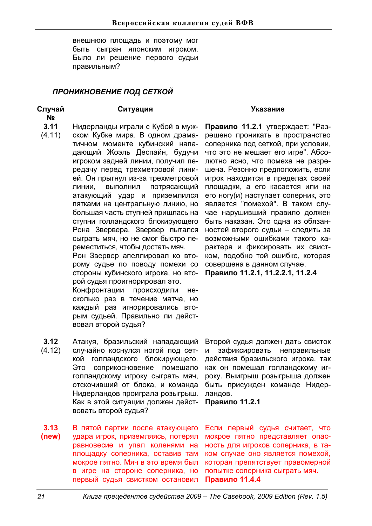внешнюю площадь и поэтому мог быть сыгран японским игроком. Было ли решение первого судьи правильным?

# ПРОНИКНОВЕНИЕ ПОД СЕТКОЙ

# **Случай**

**N**<sup>o</sup>

- **3.11**  Нидерланды играли с Кубой в муж-
- (4.11) ском Кубке мира. В одном драматичном моменте кубинский нападающий Жоэль Деспайн, будучи игроком задней линии, получил передачу перед трехметровой линией. Он прыгнул из-за трехметровой линии, выполнил потрясающий атакующий удар и приземлился пятками на центральную линию, но большая часть ступней пришлась на ступни голландского блокирующего Рона Звервера. Звервер пытался сыграть мяч, но не смог быстро переместиться, чтобы достать мяч.

Рон Звервер апеллировал ко второму судье по поводу помехи со стороны кубинского игрока, но второй судья проигнорировал это.

Конфронтации происходили несколько раз в течение матча, но каждый раз игнорировались вторым судьей. Правильно ли действовал второй судья?

**3.12**  (4.12) Атакуя, бразильский нападающий случайно коснулся ногой под сеткой голландского блокирующего. Это соприкосновение помешало голландскому игроку сыграть мяч, отскочивший от блока, и команда Нидерландов проиграла розыгрыш. Как в этой ситуации должен действовать второй судья?

**3.13 (new)**  В пятой партии после атакующего удара игрок, приземляясь, потерял равновесие и упал коленями на площадку соперника, оставив там мокрое пятно. Мяч в это время был в игре на стороне соперника, но первый судья свистком остановил

# Ситуация Указание

Правило 11.2.1 утверждает: "Разрешено проникать в пространство соперника под сеткой, при условии, что это не мешает его игре". Абсолютно ясно, что помеха не разрешена. Резонно предположить, если игрок находится в пределах своей площадки, а его касается или на его ногу(и) наступает соперник, это является "помехой". В таком случае нарушивший правило должен быть наказан. Это одна из обязанностей второго судьи - следить за возможными ошибками такого характера и фиксировать их свистком, подобно той ошибке, которая совершена в данном случае. Правило 11.2.1, 11.2.2.1, 11.2.4

Второй судья должен дать свисток и зафиксировать неправильные действия бразильского игрока, так как он помешал голландскому игроку. Выигрыш розыгрыша должен быть присужден команде Нидерландов.

**Правило 11.2.1** 

Если первый судья считает, что мокрое пятно представляет опасность для игроков соперника, в таком случае оно является помехой, **которая препятствует правомерной** попытке соперника сыграть мяч. **Правило 11.4.4**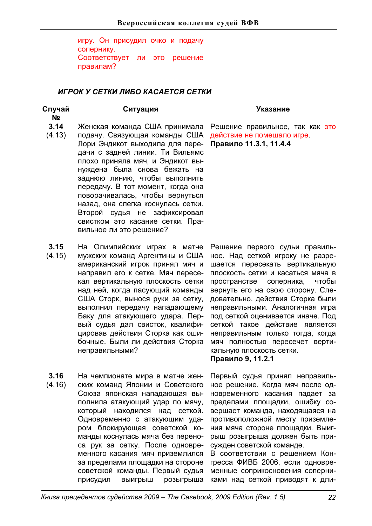игру. Он присудил очко и подачу сопернику. Соответствует ли это решение правилам?

# *ɂȽɊɈɄɍɋȿɌɄɂɅɂȻɈɄȺɋȺȿɌɋəɋȿɌɄɂ*

# **Случай**

**ʋ**

- **3.14**  Женская команда США принимала
- (4.13) подачу. Связующая команды США Лори Эндикот выходила для передачи с задней линии. Ти Вильямс плохо приняла мяч, и Эндикот вынуждена была снова бежать на заднюю линию, чтобы выполнить передачу. В тот момент, когда она поворачивалась, чтобы вернуться назад, она слегка коснулась сетки. Второй судья не зафиксировал свистком это касание сетки. Правильное ли это решение?
- **3.15**  (4.15) На Олимпийских играх в матче мужских команд Аргентины и США американский игрок принял мяч и направил его к сетке. Мяч пересекал вертикальную плоскость сетки над ней, когда пасующий команды США Сторк, вынося руки за сетку, выполнил передачу нападающему Баку для атакующего удара. Первый судья дал свисток, квалифицировав действия Сторка как ошибочные. Были ли действия Сторка неправильными?
- **3.16**  (4.16) На чемпионате мира в матче женских команд Японии и Советского Союза японская нападающая выполнила атакующий удар по мячу, который находился над сеткой. Одновременно с атакующим ударом блокирующая советской команды коснулась мяча без переноса рук за сетку. После одновременного касания мяч приземлился за пределами площадки на стороне советской команды. Первый судья присудил выигрыш розыгрыша

# Ситуация Указание

Решение правильное, так как это действие не помешало игре. Правило 11.3.1, 11.4.4

Решение первого судьи правильное. Над сеткой игроку не разрешается пересекать вертикальную плоскость сетки и касаться мяча в пространстве соперника, чтобы вернуть его на свою сторону. Следовательно, действия Сторка были неправильными. Аналогичная игра под сеткой оценивается иначе. Под сеткой такое действие является неправильным только тогда, когда мяч полностью пересечет вертикальную плоскость сетки. Правило 9, 11.2.1

Первый судья принял неправильное решение. Когда мяч после одновременного касания падает за пределами площадки, ошибку совершает команда, находящаяся на противоположной месту приземления мяча стороне площадки. Выигрыш розыгрыша должен быть присужден советской команде.

В соответствии с решением Конгресса ФИВБ 2006, если одновременные соприкосновения соперниками над сеткой приводят к дли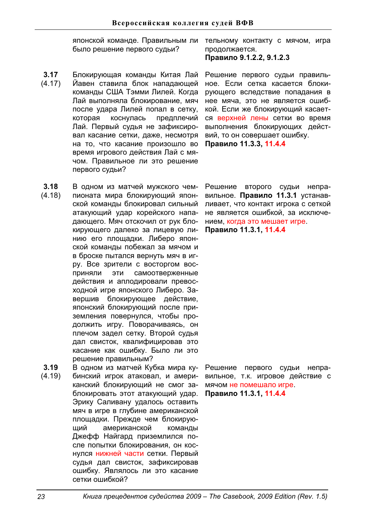японской команде. Правильным ли было решение первого судьи?

- **3.17**  (4.17) Блокирующая команды Китая Лай Йавен ставила блок нападающей команды США Тэмми Лилей. Когда Лай выполняла блокирование, мяч после удара Лилей попал в сетку, которая коснулась предплечий Лай. Первый судья не зафиксировал касание сетки, даже, несмотря на то, что касание произошло во время игрового действия Лай с мячом. Правильное ли это решение первого судьи?
- **3.18**  (4.18) В одном из матчей мужского чемпионата мира блокирующий японской команды блокировал сильный атакующий удар корейского нападающего. Мяч отскочил от рук блокирующего далеко за лицевую линию его плошадки. Либеро японской команды побежал за мячом и в броске пытался вернуть мяч в игру. Все зрители с восторгом восприняли эти самоотверженные действия и аплодировали превосходной игре японского Либеро. Завершив блокирующее действие, японский блокирующий после приземления повернулся, чтобы продолжить игру. Поворачиваясь, он плечом задел сетку. Второй судья дал свисток, квалифицировав это касание как ошибку. Было ли это решение правильным?
- **3.19**  (4.19) В одном из матчей Кубка мира кубинский игрок атаковал, и американский блокирующий не смог заблокировать этот атакующий удар. Эрику Саливану удалось оставить мяч в игре в глубине американской площадки. Прежде чем блокирующий американской команды Джефф Найгард приземлился после попытки блокирования, он коснулся нижней части сетки. Первый судья дал свисток, зафиксировав ошибку. Являлось ли это касание сетки ошибкой?

тельному контакту с мячом, игра продолжается. Правило 9.1.2.2, 9.1.2.3

Решение первого судьи правильное. Если сетка касается блокирующего вследствие попадания в нее мяча, это не является ошибкой. Если же блокирующий касается верхней лены сетки во время выполнения блокирующих действий, то он совершает ошибку. Правило 11.3.3, 11.4.4

Решение второго судьи неправильное. **Правило 11.3.1** устанавливает, что контакт игрока с сеткой не является ошибкой, за исключением, когда это мешает игре. Правило 11.3.1, 11.4.4

Решение первого судьи неправильное, т.к. игровое действие с мячом не помешало игре. Правило 11.3.1, 11.4.4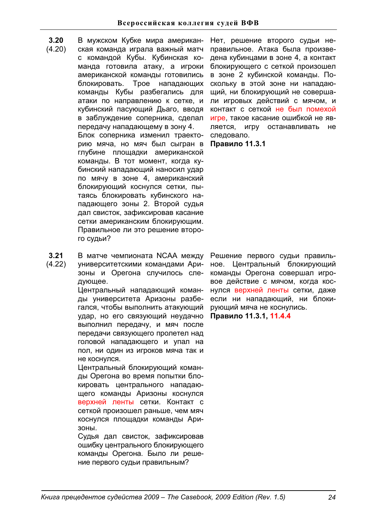- **3.20**  В мужском Кубке мира американ-
- (4.20) ская команда играла важный матч с командой Кубы. Кубинская команда готовила атаку, а игроки американской команды готовились блокировать. Трое нападающих команды Кубы разбегались для атаки по направлению к сетке, и кубинский пасующий Дьаго, вводя в заблуждение соперника, сделал передачу нападающему в зону 4. Блок соперника изменил траекторию мяча, но мяч был сыгран в глубине площадки американской команды. В тот момент, когда кубинский нападающий наносил удар по мячу в зоне 4, американский блокирующий коснулся сетки, пытаясь блокировать кубинского нападающего зоны 2. Второй судья дал свисток, зафиксировав касание сетки американским блокирующим. Правильное ли это решение второго судьи?
- **3.21**  В матче чемпионата NCAA между
- (4.22) университетскими командами Аризоны и Орегона случилось следующее.

Центральный нападающий команды үниверситета Аризоны разбегался, чтобы выполнить атакующий удар, но его связующий неудачно выполнил передачу, и мяч после передачи связующего пролетел над головой нападающего и упал на пол, ни один из игроков мяча так и не коснулся.

Центральный блокирующий команды Орегона во время попытки блокировать центрального нападающего команды Аризоны коснулся верхней ленты сетки. Контакт с сеткой произошел раньше, чем мяч коснулся площадки команды Ари-**30НЫ.** 

Судья дал свисток, зафиксировав ошибку центрального блокирующего команды Орегона. Было ли решение первого судьи правильным?

Нет, решение второго судьи неправильное. Атака была произведена кубинцами в зоне 4, а контакт блокирующего с сеткой произошел в зоне 2 кубинской команды. Поскольку в этой зоне ни нападающий, ни блокирующий не совершали игровых действий с мячом, и контакт с сеткой не был помехой игре, такое касание ошибкой не является, игру останавливать не следовало.

**Правило 11.3.1** 

Решение первого судьи правильное. Центральный блокирующий команды Орегона совершал игровое действие с мячом, когда коснулся верхней ленты сетки, даже если ни нападающий, ни блокирующий мяча не коснулись.

Правило 11.3.1, 11.4.4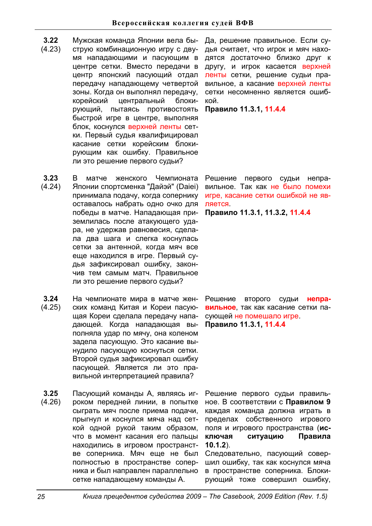- **3.22**
- (4.23) струю комбинационную игру с двумя нападающими и пасующим в центре сетки. Вместо передачи в центр японский пасующий отдал передачу нападающему четвертой зоны. Когда он выполнял передачу, корейский центральный блокирующий, пытаясь противостоять быстрой игре в центре, выполняя блок, коснулся верхней ленты сетки. Первый судья квалифицировал касание сетки корейским блокирующим как ошибку. Правильное ли это решение первого судьи?
- **3.23**  (4.24) В матче женского Чемпионата Японии спортсменка "Дайэй" (Daiei) принимала подачу, когда сопернику оставалось набрать одно очко для победы в матче. Нападающая приземлилась после атакующего удара, не удержав равновесия, сделала два шага и слегка коснулась сетки за антенной, когда мяч все еще находился в игре. Первый судья зафиксировал ошибку, закончив тем самым матч. Правильное ли это решение первого судьи?
- **3.24**  (4.25) На чемпионате мира в матче женских команд Китая и Кореи пасующая Кореи сделала передачу нападающей. Когда нападающая выполняла удар по мячу, она коленом задела пасующую. Это касание вынудило пасующую коснуться сетки. Второй судья зафиксировал ошибку пасующей. Является ли это правильной интерпретацией правила?
- **3.25**  (4.26) Пасующий команды А. являясь игроком передней линии, в попытке сыграть мяч после приема подачи, прыгнул и коснулся мяча над сеткой одной рукой таким образом, что в момент касания его пальцы находились в игровом пространстве соперника. Мяч еще не был полностью в пространстве соперника и был направлен параллельно сетке нападающему команды А.

Мужская команда Японии вела бы- Да, решение правильное. Если судья считает, что игрок и мяч находятся достаточно близко друг к другу, и игрок касается верхней ленты сетки, решение судьи правильное, а касание верхней ленты сетки несомненно является ошибкой.

Правило 11.3.1, 11.4.4

Решение первого судьи неправильное. Так как не было помехи игре, касание сетки ошибкой не является.

Правило 11.3.1, 11.3.2, 11.4.4

Решение второго судьи **неправильное**, так как касание сетки пасующей не помешало игре Правило 11.3.1, 11.4.4

Решение первого судьи правильное. В соответствии с **Правилом 9** каждая команда должна играть в пределах собственного игрового поля и игрового пространства (исключая ситуацию Правила **10.1.2**).

Следовательно, пасующий совершил ошибку, так как коснулся мяча в пространстве соперника. Блокирующий тоже совершил ошибку,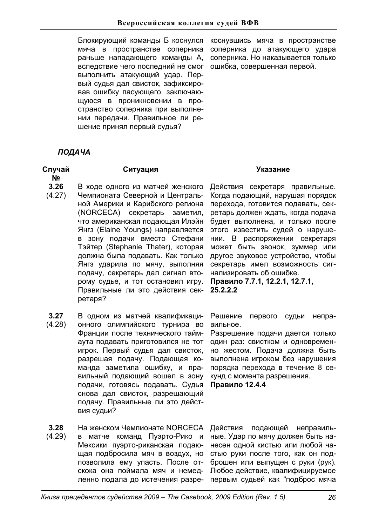Блокирующий команды Б коснулся мяча в пространстве соперника раньше нападающего команды А, вследствие чего последний не смог выполнить атакующий удар. Первый судья дал свисток, зафиксировав ошибку пасующего, заключающуюся в проникновении в пространство соперника при выполнении передачи. Правильное ли решение принял первый судья?

коснувшись мяча в пространстве соперника до атакующего удара соперника. Но наказывается только ошибка, совершенная первой.

# *ɉɈȾȺɑȺ*

### **Случай ʋ**

- **3.26**  (4.27) В ходе одного из матчей женского Чемпионата Северной и Центральной Америки и Карибского региона (NORCECA) секретарь заметил, что американская подающая Илэйн Янгз (Elaine Youngs) направляется в зону подачи вместо Стефани Тэйтер (Stephanie Thater), которая должна была подавать. Как только Янгз ударила по мячу, выполняя подачу, секретарь дал сигнал второму судье, и тот остановил игру. Правильные ли это действия секретаря?
- **3.27**  В одном из матчей квалификаци-
- (4.28) онного олимпийского турнира во Франции после технического таймаута подавать приготовился не тот игрок. Первый судья дал свисток, разрешая подачу. Подающая команда заметила ошибку, и правильный подающий вошел в зону подачи, готовясь подавать. Судья снова дал свисток, разрешающий подачу. Правильные ли это действия судьи?
- **3.28**  На женском Чемпионате NORCECA
- (4.29) в матче команд Пуэрто-Рико и Мексики пуэрто-риканская подающая подбросила мяч в воздух, но позволила ему упасть. После отскока она поймала мяч и немедленно подала до истечения разре-

# Ситуация Указание

Действия секретаря правильные. Когда подающий, нарушая порядок перехода, готовится подавать, секретарь должен ждать, когда подача будет выполнена, и только после этого известить судей о нарушении. В распоряжении секретаря может быть звонок, зуммер или другое звуковое устройство, чтобы секретарь имел возможность сигнализировать об ошибке.

Правило 7.7.1, 12.2.1, 12.7.1, **25.2.2.2** 

Решение первого судьи неправильное.

Разрешение подачи дается только один раз: свистком и одновременно жестом. Подача должна быть выполнена игроком без нарушения порядка перехода в течение 8 секунд с момента разрешения.

**Правило 12.4.4** 

Действия подающей неправильные. Удар по мячу должен быть нанесен одной кистью или любой частью руки после того, как он подброшен или выпушен с руки (рук). Любое действие, квалифицируемое первым судьей как "подброс мяча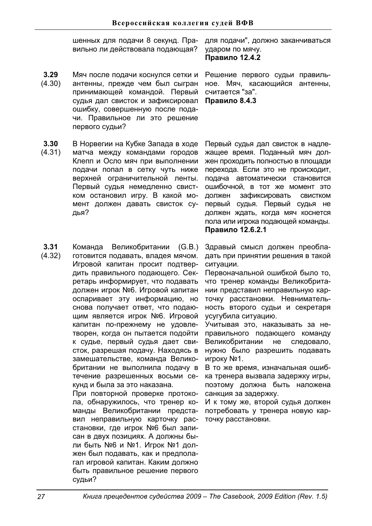шенных для подачи 8 секунд. Правильно ли действовала подающая?

- **3.29**  (4.30) Мяч после подачи коснулся сетки и антенны, прежде чем был сыгран принимающей командой. Первый судья дал свисток и зафиксировал ошибку, совершенную после подачи. Правильное ли это решение первого судьи?
- **3.30**  В Норвегии на Кубке Запада в ходе
- (4.31) матча между командами городов Клепп и Осло мяч при выполнении подачи попал в сетку чуть ниже верхней ограничительной ленты. Первый судья немедленно свистком остановил игру. В какой момент должен давать свисток судья?
- **3.31**  (4.32) Команда Великобритании (G.B.) готовится подавать, владея мячом. Игровой капитан просит подтвердить правильного подающего. Секретарь информирует, что подавать должен игрок №6. Игровой капитан оспаривает эту информацию, но снова получает ответ, что подающим является игрок №6. Игровой капитан по-прежнему не удовлетворен, когда он пытается подойти к судье, первый судья дает свисток, разрешая подачу. Находясь в замешательстве, команда Великобритании не выполнила подачу в течение разрешенных восьми секунд и была за это наказана.

При повторной проверке протокола, обнаружилось, что тренер команды Великобритании представил неправильную карточку расстановки, где игрок №6 был записан в двух позициях. А должны были быть №6 и №1. Игрок №1 должен был подавать, как и предполагал игровой капитан. Каким должно быть правильное решение первого судьи?

для подачи", должно заканчиваться ударом по мячу. Правило 12.4.2

Решение первого судьи правильное. Мяч, касающийся антенны, считается "за". Правило 8.4.3

Первый судья дал свисток в надлежащее время. Поданный мяч должен проходить полностью в площади перехода. Если это не происходит. подача автоматически становится ошибочной, в тот же момент это должен зафиксировать свистком первый судья. Первый судья не должен ждать, когда мяч коснется пола или игрока подающей команды. **Правило 12.6.2.1** 

Здравый смысл должен преобладать при принятии решения в такой ситуации.

Первоначальной ошибкой было то, что тренер команды Великобритании представил неправильную карточку расстановки. Невнимательность второго судьи и секретаря усугубила ситуацию.

Учитывая это, наказывать за неправильного подающего команду Великобритании не следовало, нужно было разрешить подавать игроку №1.

В то же время, изначальная ошибка тренера вызвала задержку игры, поэтому должна быть наложена санкция за задержку.

И к тому же, второй судья должен потребовать у тренера новую карточку расстановки.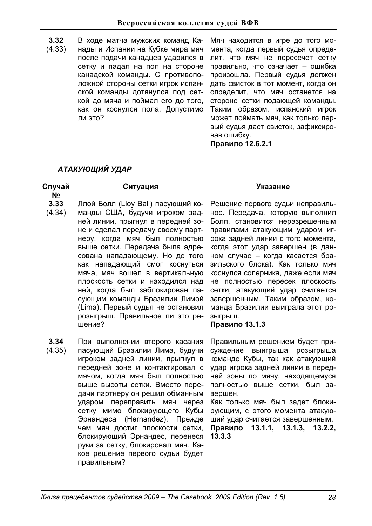- **3.32**  В ходе матча мужских команд Ка-
- (4.33) нады и Испании на Кубке мира мяч после подачи канадцев ударился в сетку и падал на пол на стороне канадской команды. С противоположной стороны сетки игрок испанской команды дотянулся под сеткой до мяча и поймал его до того, как он коснулся пола. Допустимо ли это?

Мяч находится в игре до того момента, когда первый судья определит, что мяч не пересечет сетку правильно, что означает - ошибка произошла. Первый судья должен дать свисток в тот момент, когда он определит, что мяч останется на стороне сетки подающей команды. Таким образом, испанский игрок может поймать мяч, как только первый судья даст свисток, зафиксировав ошибку.

**Правило 12.6.2.1** 

# АТАКУЮШИЙ УДАР

# **Случай**

### Ситуация Указание

**ʋ**

- **3.33**  Ллой Болл (Lloy Ball) пасующий ко-
- (4.34) манды США, будучи игроком задней линии, прыгнул в передней зоне и сделал передачу своему партнеру, когда мяч был полностью выше сетки. Передача была адресована нападающему. Но до того как нападающий смог коснуться мяча, мяч вошел в вертикальную плоскость сетки и находился над ней, когда был заблокирован пасующим команды Бразилии Лимой (Lima). Первый судья не остановил розыгрыш. Правильное ли это решение?
- **3.34**  (4.35) При выполнении второго касания пасующий Бразилии Лима, будучи игроком задней линии, прыгнул в передней зоне и контактировал с мячом, когда мяч был полностью выше высоты сетки. Вместо передачи партнеру он решил обманным ударом переправить мяч через сетку мимо блокирующего Кубы Эрнандеса (Hernandez). Прежде чем мяч достиг плоскости сетки, блокирующий Эрнандес, перенеся руки за сетку, блокировал мяч. Какое решение первого судьи будет правильным?

Решение первого судьи неправильное. Передача, которую выполнил Болл, становится неразрешенным правилами атакующим ударом игрока задней линии с того момента. когда этот удар завершен (в данном случае - когда касается бразильского блока). Как только мяч коснулся соперника, даже если мяч не полностью пересек плоскость сетки, атакующий удар считается завершенным. Таким образом, команда Бразилии выиграла этот розыгрыш.

# Правило 13.1.3

Правильным решением будет присуждение выигрыша розыгрыша команде Кубы, так как атакующий удар игрока задней линии в передней зоны по мячу, находящемуся полностью выше сетки, был завершен.

Как только мяч был задет блокирующим, с этого момента атакующий удар считается завершенным.

Правило 13.1.1, 13.1.3, 13.2.2, **13.3.3**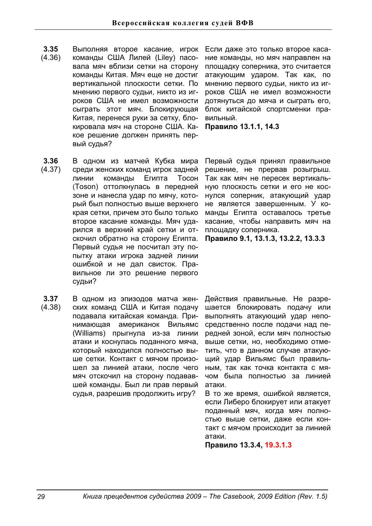- **3.35**  (4.36) Выполняя второе касание, игрок команды США Лилей (Liley) пасовала мяч вблизи сетки на сторону команды Китая. Мяч еше не достиг вертикальной плоскости сетки. По мнению первого судьи, никто из игроков США не имел возможности сыграть этот мяч. Блокирующая Китая, перенеся руки за сетку, блокировала мяч на стороне США. Какое решение должен принять первый судья?
- **3.36**  (4.37) В одном из матчей Кубка мира среди женских команд игрок задней линии команды Египта Тосон (Toson) оттолкнулась в передней зоне и нанесла удар по мячу, который был полностью выше верхнего края сетки, причем это было только второе касание команды. Мяч ударился в верхний край сетки и отскочил обратно на сторону Египта. Первый судья не посчитал эту попытку атаки игрока задней линии ошибкой и не дал свисток. Правильное ли это решение первого судьи?
- **3.37**  (4.38) В одном из эпизодов матча женских команд США и Китая подачу подавала китайская команда. Принимающая американок Вильямс (Williams) прыгнула из-за линии атаки и коснулась поданного мяча, который находился полностью выше сетки. Контакт с мячом произошел за линией атаки, после чего мяч отскочил на сторону подававшей команды. Был ли прав первый судья, разрешив продолжить игру?

Если даже это только второе касание команды, но мяч направлен на площадку соперника, это считается атакующим ударом. Так как, по мнению первого судьи, никто из игроков США не имел возможности дотянуться до мяча и сыграть его. блок китайской спортсменки правильный.

**Правило 13.1.1, 14.3** 

Первый судья принял правильное решение, не прервав розыгрыш. Так как мяч не пересек вертикальную плоскость сетки и его не коснулся соперник, атакующий удар не является завершенным. У команды Египта оставалось третье касание, чтобы направить мяч на площадку соперника.

Правило 9.1, 13.1.3, 13.2.2, 13.3.3

Действия правильные. Не разрешается блокировать подачу или выполнять атакующий удар непосредственно после подачи над передней зоной, если мяч полностью выше сетки, но, необходимо отметить, что в данном случае атакующий удар Вильямс был правильным, так как точка контакта с мячом была полностью за линией атаки.

В то же время, ошибкой является. если Либеро блокирует или атакует поданный мяч, когда мяч полностью выше сетки, даже если контакт с мячом происходит за линией атаки.

Правило 13.3.4, 19.3.1.3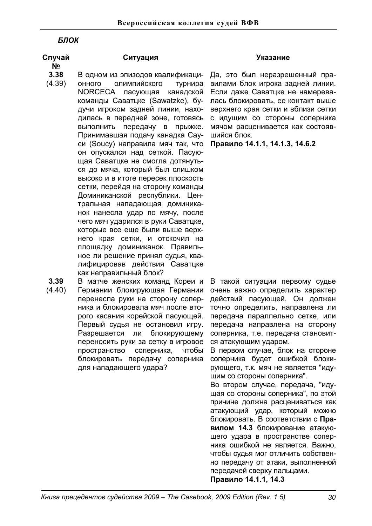# **БЛОК**

# Случай

**ʋ**

- 
- **3.38**  В одном из эпизодов квалификаци-
- (4.39) онного олимпийского турнира NORCECA пасующая канадской команды Саватцке (Sawatzke), будучи игроком задней линии, находилась в передней зоне, готовясь выполнить передачу в прыжке. Принимавшая подачу канадка Сауси (Soucy) направила мяч так, что он опускался над сеткой. Пасующая Саватцке не смогла дотянуться до мяча, который был слишком высоко и в итоге пересек плоскость сетки, перейдя на сторону команды Доминиканской республики. Центральная нападающая доминиканок нанесла удар по мячу, после чего мяч ударился в руки Саватцке, которые все еще были выше верхнего края сетки, и отскочил на площадку доминиканок. Правильное ли решение принял судья, квалифицировав действия Саватцке как неправильный блок?
- **3.39**  В матче женских команд Кореи и
- (4.40) Германии блокирующая Германии перенесла руки на сторону соперника и блокировала мяч после второго касания корейской пасующей. Первый судья не остановил игру. Разрешается ли блокирующему переносить руки за сетку в игровое пространство соперника, чтобы блокировать передачу соперника для нападающего удара?

# Ситуация Указание

Да, это был неразрешенный правилами блок игрока задней линии. Если даже Саватцке не намеревалась блокировать, ее контакт выше верхнего края сетки и вблизи сетки с идущим со стороны соперника мячом расценивается как состоявшийся блок.

Правило 14.1.1, 14.1.3, 14.6.2

В такой ситуации первому судье очень важно определить характер действий пасующей. Он должен точно определить, направлена ли передача параллельно сетке, или передача направлена на сторону соперника, т.е. передача становится атакующим ударом.

В первом случае, блок на стороне соперника будет ошибкой блокирующего, т.к. мяч не является "идущим со стороны соперника".

Во втором случае, передача, "идущая со стороны соперника", по этой причине должна расцениваться как атакующий удар, который можно блокировать. В соответствии с **Правилом 14.3** блокирование атакующего удара в пространстве соперника ошибкой не является. Важно, чтобы судья мог отличить собственно передачу от атаки, выполненной передачей сверху пальцами.

Правило 14.1.1, 14.3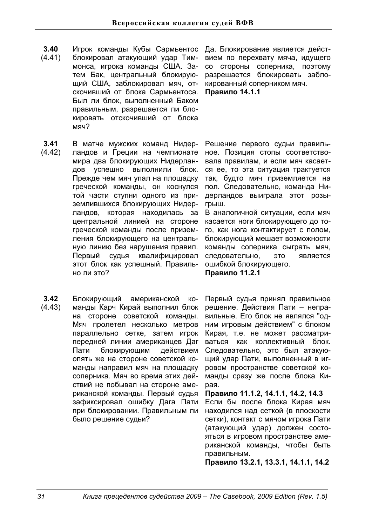- **3.40**  (4.41) Игрок команды Кубы Сармьентос Да. Блокирование является дейстблокировал атакующий удар Тиммонса, игрока команды США, Затем Бак. центральный блокирующий США, заблокировал мяч, отскочивший от блока Сармьентоса. Был ли блок, выполненный Баком правильным, разрешается ли блокировать отскочивший от блока мяч?
- **3.41**  (4.42) В матче мужских команд Нидерландов и Греции на чемпионате мира два блокирующих Нидерландов успешно выполнили блок. Прежде чем мяч упал на площадку греческой команды, он коснулся той части ступни одного из приземлившихся блокирующих Нидерландов, которая находилась за центральной линией на стороне греческой команды после приземления блокирующего на центральную линию без нарушения правил. Первый судья квалифицировал этот блок как успешный. Правильно ли это?
- **3.42**  (4.43) Блокирующий американской команды Карч Кирай выполнил блок на стороне советской команды. Мяч пролетел несколько метров параллельно сетке, затем игрок передней линии американцев Даг Пати блокирующим действием опять же на стороне советской команды направил мяч на площадку соперника. Мяч во время этих действий не побывал на стороне американской команды. Первый судья зафиксировал ошибку Дага Пати при блокировании. Правильным ли было решение судьи?

вием по перехвату мяча, идущего со стороны соперника, поэтому разрешается блокировать заблокированный соперником мяч. **Правило 14.1.1** 

Решение первого судьи правильное. Позиция стопы соответствовала правилам, и если мяч касается ее, то эта ситуация трактуется так, будто мяч приземляется на пол. Следовательно, команда Нидерландов выиграла этот розыгрыш.

В аналогичной ситуации, если мяч касается ноги блокирующего до того, как нога контактирует с полом, блокирующий мешает возможности команды соперника сыграть мяч, следовательно, это является ошибкой блокирующего. **Правило 11.2.1** 

Первый судья принял правильное решение. Действия Пати - неправильные. Его блок не являлся "одним игровым действием" с блоком Кирая, т.е. не может рассматриваться как коллективный блок. Следовательно, это был атакующий удар Пати, выполненный в игровом пространстве советской команды сразу же после блока Киpaя.

 $\Pi$ равило 11.1.2, 14.1.1, 14.2, 14.3 Если бы после блока Кирая мяч находился над сеткой (в плоскости сетки), контакт с мячом игрока Пати (атакующий удар) должен состояться в игровом пространстве американской команды, чтобы быть правильным.

 $\Pi$ равило 13.2.1, 13.3.1, 14.1.1, 14.2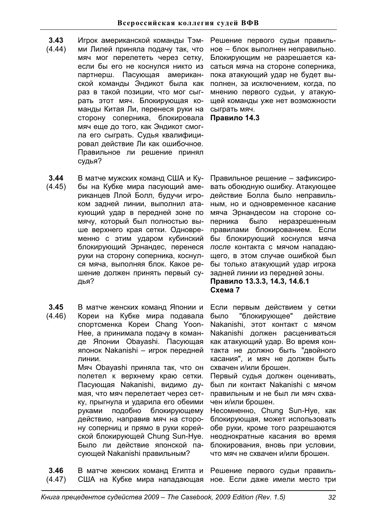- **3.43**  Игрок американской команды Тэм-
- (4.44) ми Лилей приняла подачу так, что мяч мог перелететь через сетку, если бы его не коснулся никто из партнерш. Пасуюшая американской команды Эндикот была как раз в такой позиции, что мог сыграть этот мяч. Блокирующая команды Китая Ли, перенеся руки на сторону соперника, блокировала мяч еще до того, как Эндикот смогла его сыграть. Судья квалифицировал действие Ли как ошибочное. Правильное ли решение принял судья?
- Решение первого судьи правильное – блок выполнен неправильно. Блокирующим не разрешается касаться мяча на стороне соперника, пока атакующий удар не будет выполнен, за исключением, когда, по мнению первого судьи, у атакующей команды уже нет возможности сыграть мяч.

Правило 14.3

- **3.44**  (4.45) В матче мужских команд США и Кубы на Кубке мира пасующий американцев Ллой Болл, будучи игроком задней линии, выполнил атакующий удар в передней зоне по мячу, который был полностью выше верхнего края сетки. Одновременно с этим ударом кубинский блокирующий Эрнандес, перенеся руки на сторону соперника, коснулся мяча, выполняя блок. Какое решение должен принять первый сулья?
- **3.45**  (4.46) В матче женских команд Японии и Кореи на Кубке мира подавала спортсменка Кореи Chang Yoon-
	- Нее, а принимала подачу в команде Японии Obayashi. Пасующая японок Nakanishi - игрок передней линии. Мяч Obayashi приняла так, что он полетел к верхнему краю сетки. Пасующая Nakanishi, видимо думая. что мяч перелетает через сетку, прыгнула и ударила его обеими руками подобно блокирующему действию, направив мяч на сторону соперниц и прямо в руки корейской блокирующей Chung Sun-Hye. Было ли действие японской па-
- **3.46**  (4.47) В матче женских команд Египта и США на Кубке мира нападающая ное. Если даже имели место три

сующей Nakanishi правильным?

Правильное решение - зафиксировать обоюдную ошибку. Атакующее действие Болла было неправильным, но и одновременное касание мяча Эрнандесом на стороне соперника было неразрешенным правилами блокированием. Если бы блокирующий коснулся мяча после контакта с мячом нападающего, в этом случае ошибкой был бы только атакующий удар игрока задней линии из передней зоны.

# Правило 13.3.3, 14.3, 14.6.1 **ɋɯɟɦɚ7**

Если первым действием у сетки было "блокирующее" действие Nakanishi, этот контакт с мячом Nakanishi должен расцениваться как атакующий удар. Во время контакта не должно быть "двойного касания", и мяч не должен быть схвачен и/или брошен.

Первый судья должен оценивать, был ли контакт Nakanishi с мячом правильным и не был ли мяч схвачен и/или брошен.

Несомненно, Chung Sun-Hye, как блокирующая, может использовать обе руки, кроме того разрешаются неоднократные касания во время блокирования, вновь при условии, что мяч не схвачен и/или брошен.

Решение первого судьи правиль-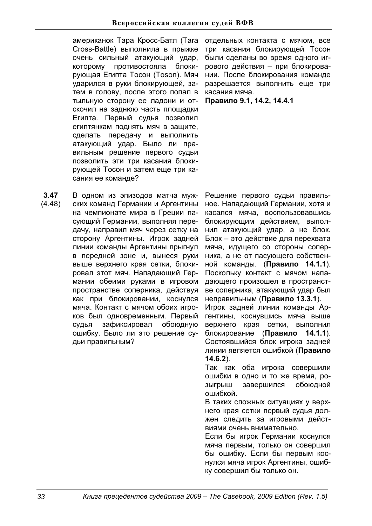американок Тара Кросс-Батл (Tara Cross-Battle) выполнила в прыжке очень сильный атакующий удар, которому противостояла блокирующая Египта Тосон (Toson), Мяч ударился в руки блокирующей, затем в голову, после этого попал в тыльную сторону ее ладони и отскочил на заднюю часть площадки Египта. Первый судья позволил египтянкам поднять мяч в защите, сделать передачу и выполнить атакующий удар. Было ли правильным решение первого судьи позволить эти три касания блокирующей Тосон и затем еще три касания ее команде?

**3.47**  (4.48) В одном из эпизодов матча мужских команд Германии и Аргентины на чемпионате мира в Греции пасующий Германии, выполняя передачу, направил мяч через сетку на сторону Аргентины. Игрок задней линии команды Аргентины прыгнул в передней зоне и, вынеся руки выше верхнего края сетки, блокировал этот мяч. Нападающий Германии обеими руками в игровом пространстве соперника, действуя как при блокировании, коснулся мяча. Контакт с мячом обоих игроков был одновременным. Первый судья зафиксировал обоюдную ошибку. Было ли это решение судьи правильным?

отдельных контакта с мячом, все три касания блокирующей Тосон были сделаны во время одного игрового действия - при блокировании. После блокирования команде разрешается выполнить еще три касания мяча.

Правило 9.1, 14.2, 14.4.1

Решение первого судьи правильное. Нападающий Германии, хотя и касался мяча. воспользовавшись блокирующим действием, выполнил атакующий удар, а не блок. Блок - это действие для перехвата мяча, идущего со стороны соперника, а не от пасующего собственной команды. (Правило 14.1.1). Поскольку контакт с мячом нападающего произошел в пространстве соперника, атакующий удар был неправильным (Правило 13.3.1).

Игрок задней линии команды Аргентины, коснувшись мяча выше верхнего края сетки, выполнил блокирование (Правило 14.1.1). Состоявшийся блок игрока задней линии является ошибкой (Правило **14.6.2**).

Так как оба игрока совершили ошибки в одно и то же время, розыгрыш завершился обоюдной ошибкой.

В таких сложных ситуациях у верхнего края сетки первый судья должен следить за игровыми действиями очень внимательно.

Если бы игрок Германии коснулся мяча первым, только он совершил бы ошибку. Если бы первым коснулся мяча игрок Аргентины, ошибку совершил бы только он.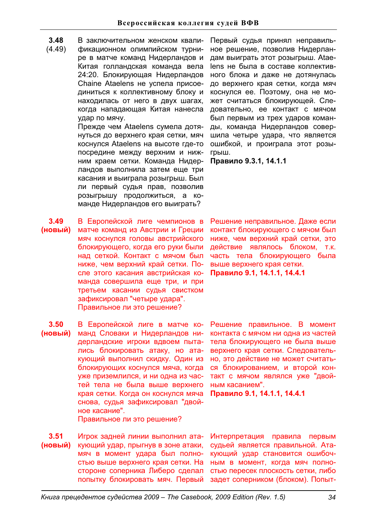- **3.48**  В заключительном женском квали-
- (4.49) фикационном олимпийском турнире в матче команд Нидерландов и Китая голландская команда вела 24:20. Блокирующая Нидерландов Chaine Ataelens не успела присоединиться к коллективному блоку и находилась от него в двух шагах, когда нападающая Китая нанесла удар по мячу.

Прежде чем Ataelens сумела дотянуться до верхнего края сетки, мяч коснулся Ataelens на высоте где-то посредине между верхним и нижним краем сетки. Команда Нидерландов выполнила затем еще три касания и выиграла розыгрыш. Был ли первый судья прав, позволив розыгрышу продолжиться, а команде Нидерландов его выиграть?

**3.49**   $(HOBBI\breve{H})$ В Европейской лиге чемпионов в матче команд из Австрии и Греции мяч коснулся головы австрийского блокирующего, когда его руки были над сеткой. Контакт с мячом был ниже, чем верхний край сетки. После этого касания австрийская команда совершила еще три, и при третьем касании судья свистком зафиксировал "четыре удара". Правильное ли это решение?

**3.50**  (новый) В Европейской лиге в матче команд Словаки и Нидерландов нидерландские игроки вдвоем пытались блокировать атаку, но атакующий выполнил скидку. Один из блокирующих коснулся мяча, когда уже приземлился, и ни одна из частей тела не была выше верхнего края сетки. Когда он коснулся мяча снова, судья зафиксировал "двойное касание".

Правильное ли это решение?

**3.51**  (новый) Игрок задней линии выполнил атакующий удар, прыгнув в зоне атаки, мяч в момент удара был полностью выше верхнего края сетки. На стороне соперника Либеро сделал попытку блокировать мяч. Первый

Первый судья принял неправильное решение, позволив Нидерландам выиграть этот розыгрыш. Ataelens не была в составе коллективного блока и даже не дотянулась до верхнего края сетки, когда мяч коснулся ее. Поэтому, она не может считаться блокирующей. Следовательно, ее контакт с мячом был первым из трех ударов команды, команда Нидерландов совершила четыре удара, что является ошибкой, и проиграла этот розыгрыш.

Правило 9.3.1, 14.1.1

Решение неправильное. Даже если контакт блокирующего с мячом был ниже, чем верхний край сетки, это действие являлось блоком, т.к. часть тела блокирующего была выше верхнего края сетки. **Правило 9.1, 14.1.1, 14.4.1** 

Решение правильное. В момент контакта с мячом ни одна из частей тела блокирующего не была выше верхнего края сетки. Следовательно, это действие не может считаться блокированием, и второй контакт с мячом являлся уже "двойным касанием".

 $\Pi$ равило 9.1, 14.1.1, 14.4.1

Интерпретация правила первым судьей является правильной. Атакующий удар становится ошибоч-НЫМ В МОМЕНТ, КОГДА МЯЧ ПОЛНОстью пересек плоскость сетки, либо задет соперником (блоком). Попыт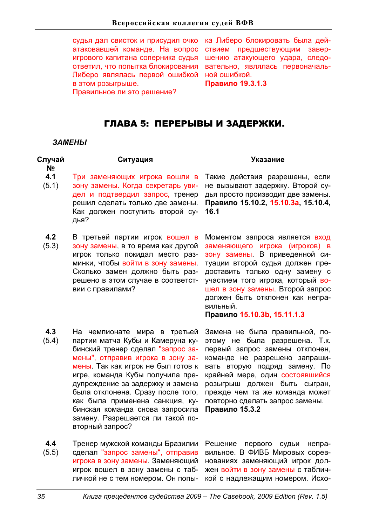судья дал свисток и присудил очко атаковавшей команде. На вопрос игрового капитана соперника судья ответил, что попытка блокирования Либеро являлась первой ошибкой в этом розыгрыше.

ка Либеро блокировать была действием предшествующим завершению атакующего удара, следовательно, являлась первоначальной ошибкой.

**Правило 19.3.1.3** 

Правильное ли это решение?

# ГЛАВА 5: ПЕРЕРЫВЫ И ЗАДЕРЖКИ.

### ЗАМЕНЫ

| Случай<br>N <sub>2</sub> | Ситуация                                                                                                                                                                                                                                | <b>Указание</b>                                                                                                                                                                                                                                                                                                                |
|--------------------------|-----------------------------------------------------------------------------------------------------------------------------------------------------------------------------------------------------------------------------------------|--------------------------------------------------------------------------------------------------------------------------------------------------------------------------------------------------------------------------------------------------------------------------------------------------------------------------------|
| 4.1<br>(5.1)             | Три заменяющих игрока вошли в<br>зону замены. Когда секретарь уви-<br>дел и подтвердил запрос, тренер<br>решил сделать только две замены.<br>Как должен поступить второй су-<br>дья?                                                    | Такие действия разрешены, если<br>не вызывают задержку. Второй су-<br>дья просто производит две замены.<br>Правило 15.10.2, 15.10.3а, 15.10.4,<br>16.1                                                                                                                                                                         |
| 4.2<br>(5.3)             | В третьей партии игрок вошел в<br>зону замены, в то время как другой<br>игрок только покидал место раз-<br>минки, чтобы войти в зону замены.<br>Сколько замен должно быть раз-<br>решено в этом случае в соответст-<br>вии с правилами? | Моментом запроса является вход<br>заменяющего игрока (игроков) в<br>зону замены. В приведенной си-<br>туации второй судья должен пре-<br>доставить только одну замену с<br>участием того игрока, который во-<br>шел в зону замены. Второй запрос<br>должен быть отклонен как непра-<br>вильный.<br>Правило 15.10.3b, 15.11.1.3 |
| 4.3<br>(5.4)             | На чемпионате мира в третьей<br>партии матча Кубы и Камеруна ку-<br>бинский тренер сделал "запрос за-<br>MAULI" OTHOGRIAR MEDOKS R SOUV 39-                                                                                             | Замена не была правильной, по-<br>этому не была разрешена. Т.к.<br>первый запрос замены отклонен,<br>KOMAHUA HA DARDALIAHO RAUDALIIK                                                                                                                                                                                           |

мены", отправив игрока в зону замены. Так как игрок не был готов к вать вторую подряд замену. По игре, команда Кубы получила предупреждение за задержку и замена была отклонена. Сразу после того, как была применена санкция, кубинская команда снова запросила замену. Разрешается ли такой повторный запрос?

команде не разрешено запрашикрайней мере, один состоявшийся розыгрыш должен быть сыгран, прежде чем та же команда может повторно сделать запрос замены. **Правило 15.3.2** 

**4.4**  (5.5) Тренер мужской команды Бразилии сделал "запрос замены", отправив игрока в зону замены. Заменяющий игрок вошел в зону замены с табличкой не с тем номером. Он попы-

Решение первого судьи неправильное. В ФИВБ Мировых соревнованиях заменяющий игрок должен войти в зону замены с табличкой с надлежащим номером. Исхо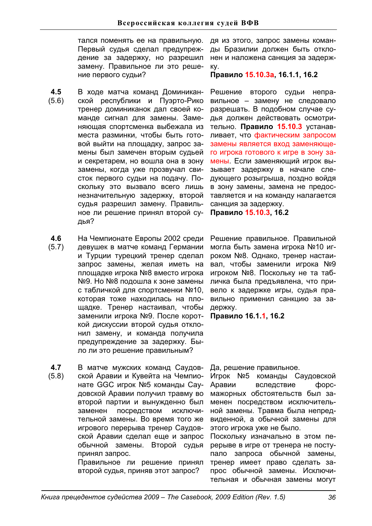тался поменять ее на правильную. Первый судья сделал предупреждение за задержку, но разрешил замену. Правильное ли это решение первого судьи?

- **4.5**  (5.6) В ходе матча команд Доминиканской республики и Пуэрто-Рико тренер доминиканок дал своей команде сигнал для замены. Заменяющая спортсменка выбежала из места разминки, чтобы быть готовой выйти на площадку, запрос замены был замечен вторым судьей и секретарем, но вошла она в зону замены, когда уже прозвучал свисток первого судьи на подачу. Поскольку это вызвало всего лишь незначительную задержку, второй судья разрешил замену. Правильное ли решение принял второй судья?
- **4.6**  На Чемпионате Европы 2002 среди
- (5.7) девушек в матче команд Германии и Турции турецкий тренер сделал запрос замены, желая иметь на площадке игрока №8 вместо игрока №9. Но №8 подошла к зоне замены с табличкой для спортсменки №10, которая тоже находилась на площадке. Тренер настаивал, чтобы заменили игрока №9. После короткой дискуссии второй судья отклонил замену, и команда получила предупреждение за задержку. Было ли это решение правильным?
- **4.7**  (5.8) В матче мужских команд Саудовской Аравии и Кувейта на Чемпионате GGC игрок №5 команды Саудовской Аравии получил травму во второй партии и вынужденно был заменен посредством исключительной замены. Во время того же игрового перерыва тренер Саудовской Аравии сделал еще и запрос обычной замены. Второй судья принял запрос.

Правильное ли решение принял второй судья, приняв этот запрос?

дя из этого, запрос замены команды Бразилии должен быть отклонен и наложена санкция за задержκν.

# **ɉɪɚɜɢɥɨ15.10.3ɚ, 16.1.1, 16.2**

Решение второго судьи неправильное - замену не следовало разрешать. В подобном случае судья должен действовать осмотрительно. **Правило 15.10.3** устанавливает, что фактическим запросом замены является вход заменяющего игрока готового к игре в зону замены. Если заменяющий игрок вызывает задержку в начале следующего розыгрыша, поздно войдя в зону замены, замена не предоставляется и на команду налагается санкция за задержку.

Правило 15.10.3, 16.2

Решение правильное. Правильной могла быть замена игрока №10 игроком №8. Однако, тренер настаивал, чтобы заменили игрока №9 игроком №8. Поскольку не та табличка была предъявлена, что привело к задержке игры, судья правильно применил санкцию за задержку.

Правило 16.1.1, 16.2

Да, решение правильное.

Игрок №5 команды Саудовской Аравии вследствие форсмажорных обстоятельств был заменен посредством исключительной замены. Травма была непредвиденной, а обычной замены для этого игрока уже не было.

Поскольку изначально в этом перерыве в игре от тренера не поступало запроса обычной замены, тренер имеет право сделать запрос обычной замены. Исключительная и обычная замены могут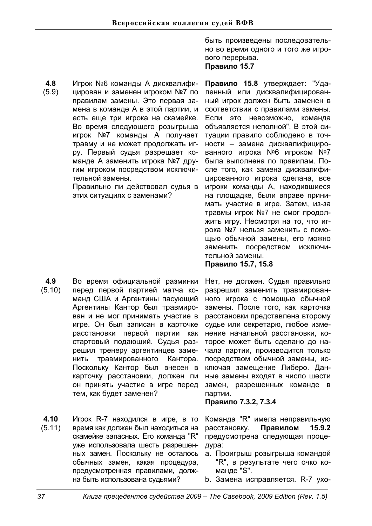**4.8**  (5.9) Игрок №6 команды А дисквалифицирован и заменен игроком №7 по правилам замены. Это первая замена в команде А в этой партии, и есть еще три игрока на скамейке. Во время следующего розыгрыша игрок №7 команды А получает травму и не может продолжать игру. Первый судья разрешает команде А заменить игрока №7 другим игроком посредством исключительной замены.

Правильно ли действовал судья в этих ситуациях с заменами?

- **4.9**  (5.10) Во время официальной разминки перед первой партией матча команд США и Аргентины пасующий Аргентины Кантор был травмирован и не мог принимать участие в игре. Он был записан в карточке расстановки первой партии как стартовый подающий. Судья разрешил тренеру аргентинцев заменить травмированного Кантора. Поскольку Кантор был внесен в карточку расстановки, должен ли он принять участие в игре перед тем, как будет заменен?
- **4.10**  (5.11) Игрок R-7 находился в игре, в то время как должен был находиться на скамейке запасных. Его команда "R" уже использовала шесть разрешенных замен. Поскольку не осталось обычных замен, какая процедура. предусмотренная правилами, должна быть использована судьями?

быть произведены последовательно во время одного и того же игрового перерыва. Правило 15.7

Правило 15.8 утверждает: "Удаленный или дисквалифицированный игрок должен быть заменен в соответствии с правилами замены. Если это невозможно, команда объявляется неполной". В этой ситуации правило соблюдено в точности - замена дисквалифицированного игрока №6 игроком №7 была выполнена по правилам. После того, как замена дисквалифицированного игрока сделана, все игроки команды А, находившиеся на площадке, были вправе принимать участие в игре. Затем, из-за травмы игрок №7 не смог продолжить игру. Несмотря на то, что игрока №7 нельзя заменить с помощью обычной замены, его можно заменить посредством исключительной замены.

**Правило 15.7, 15.8** 

Нет, не должен. Судья правильно разрешил заменить травмированного игрока с помощью обычной замены. После того, как карточка расстановки представлена второму судье или секретарю, любое изменение начальной расстановки, которое может быть сделано до начала партии, производится только посредством обычной замены, исключая замещение Либеро. Данные замены входят в число шести замен, разрешенных команде в партии.

# Правило 7.3.2, 7.3.4

Команда "R" имела неправильную расстановку. **Правилом 15.9.2** предусмотрена следующая процедура:

- а. Проигрыш розыгрыша командой "R", в результате чего очко команде "S".
- b. Замена исправляется. R-7 ухо-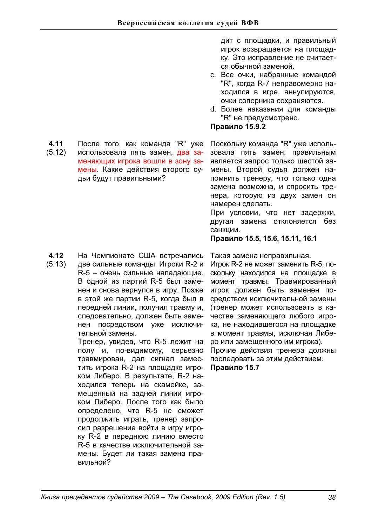**4.11**  После того, как команда "R" уже

(5.12) использовала пять замен, два заменяющих игрока вошли в зону замены. Какие действия второго судьи будут правильными?

дит с площадки, и правильный игрок возвращается на площадку. Это исправление не считается обычной заменой.

- с. Все очки, набранные командой "R", когда R-7 неправомерно находился в игре, аннулируются, очки соперника сохраняются.
- d. Более наказания для команды "R" не предусмотрено.

# Правило 15.9.2

Поскольку команда "R" уже использовала пять замен, правильным является запрос только шестой замены. Второй судья должен напомнить тренеру, что только одна замена возможна, и спросить тренера, которую из двух замен он намерен сделать.

При условии, что нет задержки, другая замена отклоняется без санкции.

**ɉɪɚɜɢɥɨ 15.5, 15.6, 15.11, 16.1** 

- **4.12**  На Чемпионате США встречались
- (5.13) две сильные команды. Игроки R-2 и R-5 - очень сильные нападающие. В одной из партий R-5 был заменен и снова вернулся в игру. Позже в этой же партии R-5, когда был в передней линии, получил травму и, следовательно, должен быть заменен посредством уже исключительной замены.

Тренер, увидев, что R-5 лежит на полу и, по-видимому, серьезно травмирован, дал сигнал заместить игрока R-2 на площадке игроком Либеро. В результате, R-2 находился теперь на скамейке, замешенный на задней линии игроком Либеро. После того как было определено, что R-5 не сможет продолжить играть, тренер запросил разрешение войти в игру игроку R-2 в переднюю линию вместо R-5 в качестве исключительной замены. Будет ли такая замена правильной?

Такая замена неправильная.

Игрок R-2 не может заменить R-5, поскольку находился на площадке в момент травмы. Травмированный игрок должен быть заменен посредством исключительной замены (тренер может использовать в качестве заменяющего любого игрока, не находившегося на площадке в момент травмы, исключая Либеро или замещенного им игрока).

Прочие действия тренера должны последовать за этим действием. Правило 15.7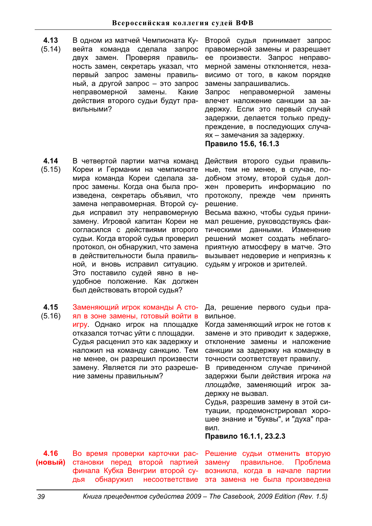**4.13**  (5.14) В одном из матчей Чемпионата Кувейта команда сделала запрос двух замен. Проверяя правильность замен, секретарь указал, что первый запрос замены правильный, а другой запрос - это запрос неправомерной замены. Какие действия второго судьи будут правильными?

Второй судья принимает запрос правомерной замены и разрешает ее произвести. Запрос неправомерной замены отклоняется, независимо от того. в каком порядке замены запрашивались.

Запрос неправомерной замены влечет наложение санкции за задержку. Если это первый случай задержки, делается только предупреждение, в последующих случаях - замечания за задержку. Правило 15.6, 16.1.3

- **4.14**  (5.15) В четвертой партии матча команд Кореи и Германии на чемпионате мира команда Кореи сделала запрос замены. Когда она была произведена, секретарь объявил, что замена неправомерная. Второй судья исправил эту неправомерную замену. Игровой капитан Кореи не согласился с действиями второго судьи. Когда второй судья проверил протокол, он обнаружил, что замена в действительности была правильной, и вновь исправил ситуацию. Это поставило судей явно в неудобное положение. Как должен был действовать второй судья?
- **4.15**  Заменяющий игрок команды А сто-
- (5.16) ял в зоне замены, готовый войти в игру. Однако игрок на площадке отказался тотчас уйти с площадки. Судья расценил это как задержку и наложил на команду санкцию. Тем не менее, он разрешил произвести замену. Является ли это разрешение замены правильным?

Действия второго судьи правиль-Hые, тем не менее, в случае, подобном этому, второй судья должен проверить информацию по протоколу, прежде чем принять решение.

Весьма важно, чтобы судья принимал решение, руководствуясь фактическими данными. Изменение решений может создать неблагоприятную атмосферу в матче. Это вызывает недоверие и неприязнь к судьям у игроков и зрителей.

Да, решение первого судьи правильное.

Когда заменяющий игрок не готов к замене и это приводит к задержке, отклонение замены и наложение санкции за задержку на команду в точности соответствует правилу.

В приведенном случае причиной задержки были действия игрока на *площадке*, заменяющий игрок задержку не вызвал.

Судья, разрешив замену в этой ситуации, продемонстрировал хорошее знание и "буквы", и "духа" пра-**ВИП.** 

# **ɉɪɚɜɢɥɨ 16.1.1, 23.2.3**

**4.16**   $(HOBBI\breve{M})$ Во время проверки карточки расстановки перед второй партией финала Кубка Венгрии второй судья обнаружил несоответствие

Решение судьи отменить вторую замену правильное. Проблема возникла, когда в начале партии эта замена не была произведена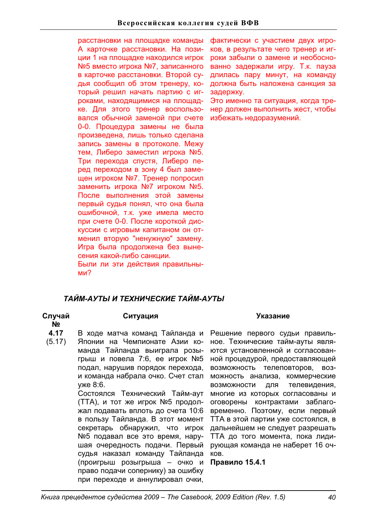расстановки на площадке команды А карточке расстановки. На позиции 1 на площадке находился игрок №5 вместо игрока №7, записанного в карточке расстановки. Второй судья сообщил об этом тренеру, который решил начать партию с игроками, находящимися на площадке. Для этого тренер воспользовался обычной заменой при счете 0-0. Процедура замены не была произведена, лишь только сделана запись замены в протоколе. Межу тем, Либеро заместил игрока №5. Три перехода спустя, Либеро перед переходом в зону 4 был замещен игроком №7. Тренер попросил заменить игрока №7 игроком №5. После выполнения этой замены первый судья понял, что она была ошибочной, т.к. уже имела место при счете 0-0. После короткой дискуссии с игровым капитаном он отменил вторую "ненужную" замену. Игра была продолжена без вынесения какой-либо санкции. Были ли эти действия правильными?

фактически с участием двух игроков, в результате чего тренер и игроки забыли о замене и необоснованно задержали игру. Т.к. пауза длилась пару минут, на команду должна быть наложена санкция за задержку.

Это именно та ситуация, когда тренер должен выполнить жест, чтобы избежать недоразумений.

# *ɌȺɃɆ-ȺɍɌɕɂɌȿɏɇɂɑȿɋɄɂȿɌȺɃɆ-ȺɍɌɕ*

**Случай** 

**ʋ**

# Ситуация Указание

- **4.17**  В ходе матча команд Тайланда и
- (5.17) Японии на Чемпионате Азии команда Тайланда выиграла розыгрыш и повела 7:6, ее игрок №5 подал, нарушив порядок перехода, и команда набрала очко. Счет стал уже 8:6.

Состоялся Технический Тайм-аут (ТТА), и тот же игрок №5 продолжал подавать вплоть до счета 10:6 в пользу Тайланда. В этот момент секретарь обнаружил, что игрок №5 подавал все это время, нарушая очередность подачи. Первый судья наказал команду Тайланда (проигрыш розыгрыша - очко и право подачи сопернику) за ошибку при переходе и аннулировал очки,

Решение первого судьи правильное. Технические тайм-ауты являются установленной и согласованной процедурой, предоставляющей возможность телеповторов, возможность анализа, коммерческие возможности для телевидения, многие из которых согласованы и оговорены контрактами заблаговременно. Поэтому, если первый ТТА в этой партии уже состоялся, в дальнейшем не следует разрешать ТТА до того момента, пока лидирующая команда не наберет 16 оч-KOB.

**Правило 15.4.1**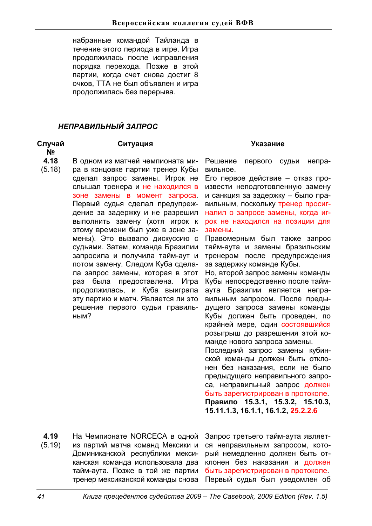набранные командой Тайланда в течение этого периода в игре. Игра продолжилась после исправления порядка перехода. Позже в этой партии, когда счет снова достиг 8 очков, TTA не был объявлен и игра продолжилась без перерыва.

# НЕПРАВИЛЬНЫЙ ЗАПРОС

# **Случай**

**ʋ**

- **4.18**  В одном из матчей чемпионата ми-
- (5.18) ра в концовке партии тренер Кубы сделал запрос замены. Игрок не слышал тренера и не находился в зоне замены в момент запроса. Первый судья сделал предупреждение за задержку и не разрешил выполнить замену (хотя игрок к этому времени был уже в зоне замены). Это вызвало дискуссию с судьями. Затем, команда Бразилии запросила и получила тайм-аут и потом замену. Следом Куба сделала запрос замены, которая в этот раз была предоставлена. Игра продолжилась, и Куба выиграла эту партию и матч. Является ли это решение первого судьи правильным?

# Ситуация Указание

Решение первого судьи неправильное.

Его первое действие - отказ произвести неподготовленную замену и санкция за задержку - было правильным, поскольку тренер просигналил о запросе замены, когда игрок не находился на позиции для замены

Правомерным был также запрос тайм-аута и замены бразильским тренером после предупреждения за задержку команде Кубы.

Но, второй запрос замены команды Кубы непосредственно после таймаута Бразилии является неправильным запросом. После предыдущего запроса замены команды Кубы должен быть проведен, по крайней мере, один состоявшийся розыгрыш до разрешения этой команде нового запроса замены.

Последний запрос замены кубинской команды должен быть отклонен без наказания, если не было предыдущего неправильного запроса, неправильный запрос должен быть зарегистрирован в протоколе. Правило 15.3.1, 15.3.2, 15.10.3, **15.11.1.3, 16.1.1, 16.1.2, 25.2.2.6**

**4.19**  (5.19) На Чемпионате NORCECA в одной из партий матча команд Мексики и Доминиканской республики мексиканская команда использовала два тайм-аута. Позже в той же партии тренер мексиканской команды снова

Запрос третьего тайм-аута является неправильным запросом, который немедленно должен быть отклонен без наказания и должен быть зарегистрирован в протоколе. Первый судья был уведомлен об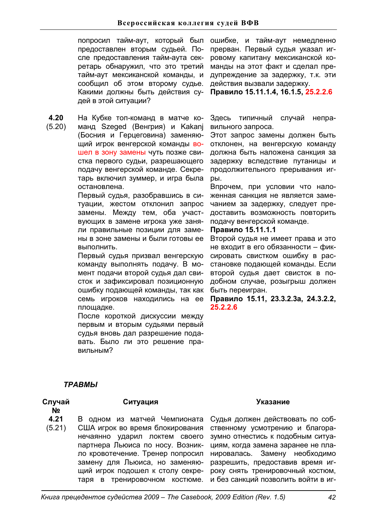попросил тайм-аут, который был предоставлен вторым судьей. После предоставления тайм-аута секретарь обнаружил, что это третий тайм-аут мексиканской команды, и сообщил об этом второму судье. Какими должны быть действия судей в этой ситуации?

**4.20**  (5.20) На Кубке топ-команд в матче команд Szeged (Венгрия) и Kakanj (Босния и Герцеговина) заменяю-

щий игрок венгерской команды вошел в зону замены чуть позже свистка первого судьи, разрешающего подачу венгерской команде. Секретарь включил зуммер, и игра была остановлена.

Первый судья, разобравшись в ситуации, жестом отклонил запрос замены. Между тем, оба участвующих в замене игрока уже заняли правильные позиции для замены в зоне замены и были готовы ее выполнить.

Первый судья призвал венгерскую команду выполнять подачу. В момент подачи второй судья дал свисток и зафиксировал позиционную ошибку подающей команды, так как семь игроков находились на ее площадке.

После короткой дискуссии между первым и вторым судьями первый судья вновь дал разрешение подавать. Было ли это решение правильным?

ошибке, и тайм-аут немедленно прерван. Первый судья указал игровому капитану мексиканской команды на этот факт и сделал предупреждение за задержку, т.к. эти действия вызвали задержку.

Правило 15.11.1.4, 16.1.5, 25.2.2.6

Здесь типичный случай неправильного запроса.

Этот запрос замены должен быть отклонен, на венгерскую команду должна быть наложена санкция за задержку вследствие путаницы и продолжительного прерывания игpы.

Впрочем, при условии что наложенная санкция не является замечанием за задержку, следует предоставить возможность повторить подачу венгерской команде.

# **Правило 15.11.1.1**

Второй судья не имеет права и это не входит в его обязанности - фиксировать свистком ошибку в расстановке подающей команды. Если второй судья дает свисток в подобном случае, розыгрыш должен быть переигран.

**ɉɪɚɜɢɥɨ 15.11, 23.3.2.3a, 24.3.2.2, 25.2.2.6**

# *ɌɊȺȼɆɕ*

# **Случай**

**ʋ**

Ситуация Указание

- **4.21**  В одном из матчей Чемпионата
- (5.21) США игрок во время блокирования нечаянно ударил локтем своего партнера Льюиса по носу. Возникло кровотечение. Тренер попросил замену для Льюиса, но заменяющий игрок подошел к столу секретаря в тренировочном костюме.

Судья должен действовать по собственному усмотрению и благоразумно отнестись к подобным ситуациям, когда замена заранее не планировалась. Замену необходимо разрешить, предоставив время игроку снять тренировочный костюм, и без санкций позволить войти в иг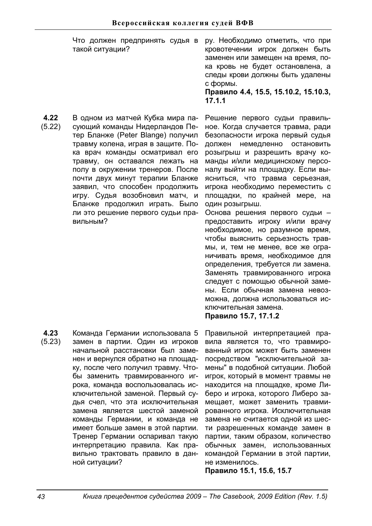Что должен предпринять судья в такой ситуации? ру. Необходимо отметить, что при кровотечении игрок должен быть заменен или замещен на время, пока кровь не будет остановлена. а следы крови должны быть удалены с формы. Правило 4.4, 15.5, 15.10.2, 15.10.3, **17.1.1**  В одном из матчей Кубка мира па-

**4.22**  (5.22) сующий команды Нидерландов Петер Бланже (Peter Blange) получил травму колена, играя в защите. Пока врач команды осматривал его травму, он оставался лежать на полу в окружении тренеров. После почти двух минут терапии Бланже заявил, что способен продолжить игру. Судья возобновил матч, и Бланже продолжил играть. Было ли это решение первого судьи правильным?

**4.23**  (5.23) Команда Германии использовала 5 замен в партии. Один из игроков начальной расстановки был заменен и вернулся обратно на плошадку, после чего получил травму. Чтобы заменить травмированного игрока, команда воспользовалась исключительной заменой. Первый судья счел, что эта исключительная замена является шестой заменой команды Германии, и команда не имеет больше замен в этой партии. Тренер Германии оспаривал такую интерпретацию правила. Как правильно трактовать правило в данной ситуации?

Решение первого судьи правильное. Когда случается травма, ради безопасности игрока первый судья должен немедленно остановить розыгрыш и разрешить врачу команды и/или медицинскому персоналу выйти на плошадку. Если выясниться, что травма серьезная, игрока необходимо переместить с площадки, по крайней мере, на один розыгрыш. Основа решения первого судьи предоставить игроку и/или врачу необходимое, но разумное время, чтобы выяснить серьезность трав-

мы, и, тем не менее, все же ограничивать время, необходимое для определения, требуется ли замена. Заменять травмированного игрока следует с помощью обычной замены. Если обычная замена невозможна. должна использоваться исключительная замена.

# **ɉɪɚɜɢɥɨ15.7, 17.1.2**

Правильной интерпретацией правила является то, что травмированный игрок может быть заменен посредством "исключительной замены" в подобной ситуации. Любой игрок, который в момент травмы не находится на площадке, кроме Либеро и игрока, которого Либеро замещает, может заменить травмированного игрока. Исключительная замена не считается одной из шести разрешенных команде замен в партии, таким образом, количество обычных замен, использованных командой Германии в этой партии, не изменилось.

**Правило 15.1, 15.6, 15.7**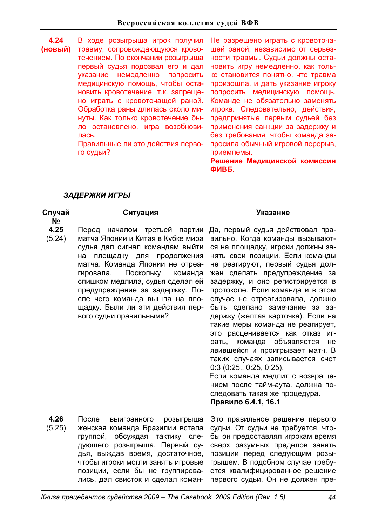**4.24 (ɧɨɜɵɣ)**  В ходе розыгрыша игрок получил травму, сопровождающуюся кровотечением. По окончании розыгрыша первый судья подозвал его и дал указание немедленно попросить медицинскую помощь, чтобы остановить кровотечение, т.к. запрещено играть с кровоточащей раной. Обработка раны длилась около минуты. Как только кровотечение было остановлено, игра возобновипась.

Правильные ли это действия первого судьи?

Не разрешено играть с кровоточащей раной, независимо от серьезности травмы. Судьи должны остановить игру немедленно, как только становится понятно, что травма произошла, и дать указание игроку попросить медицинскую помощь. Команде не обязательно заменять игрока. Следовательно, действия, предпринятые первым судьей без применения санкции за задержку и без требования, чтобы команда запросила обычный игровой перерыв, приемлемы.

Решение Медицинской комиссии **ФИВБ.** 

# ЗАДЕРЖКИ ИГРЫ

# **Случай**

**ʋ**

- **4.25**
- (5.24) матча Японии и Китая в Кубке мира судья дал сигнал командам выйти на площадку для продолжения матча. Команда Японии не отреагировала. Поскольку команда слишком медлила, судья сделал ей предупреждение за задержку. После чего команда вышла на площадку. Были ли эти действия первого судьи правильными?

### Ситуация Указание

Перед началом третьей партии Да, первый судья действовал правильно. Когда команды вызываются на площадку, игроки должны занять свои позиции. Если команды не реагируют, первый судья должен сделать предупреждение за задержку, и оно регистрируется в протоколе. Если команда и в этом случае не отреагировала, должно быть сделано замечание за задержку (желтая карточка). Если на такие меры команда не реагирует, это расценивается как отказ играть, команда объявляется не явившейся и проигрывает матч. В таких случаях записывается счет 0:3 (0:25,. 0:25, 0:25).

Если команда медлит с возвращением после тайм-аута, должна последовать такая же процедура. Правило 6.4.1, 16.1

**4.26**  (5.25) После выигранного розыгрыша женская команда Бразилии встала группой, обсуждая тактику следующего розыгрыша. Первый судья, выждав время, достаточное, чтобы игроки могли занять игровые позиции, если бы не группировались, дал свисток и сделал коман-

Это правильное решение первого судьи. От судьи не требуется, чтобы он предоставлял игрокам время сверх разумных пределов занять позиции перед следующим розыгрышем. В подобном случае требуется квалифицированное решение первого судьи. Он не должен пре-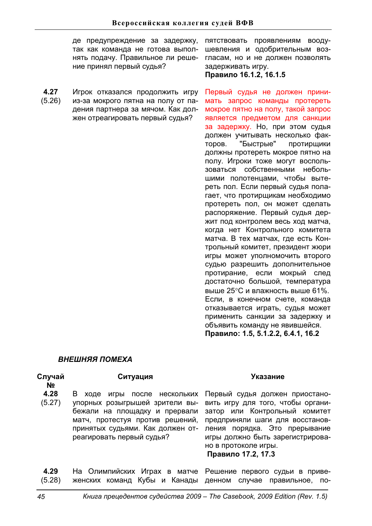де предупреждение за задержку, пятствовать проявлениям воодутак как команда не готова выполнять подачу. Правильное ли решение принял первый судья?

**4.27**  (5.26) Игрок отказался продолжить игру из-за мокрого пятна на полу от падения партнера за мячом. Как должен отреагировать первый судья?

шевления и одобрительным возгласам, но и не должен позволять задерживать игру.

Правило 16.1.2, 16.1.5

Первый судья не должен принимать запрос команды протереть мокрое пятно на полу, такой запрос является предметом для санкции за задержку. Но, при этом судья должен учитывать несколько факторов. "Быстрые" протирщики должны протереть мокрое пятно на полу. Игроки тоже могут воспользоваться собственными небольшими полотенцами, чтобы вытереть пол. Если первый судья полагает, что протирщикам необходимо протереть пол, он может сделать распоряжение. Первый судья держит под контролем весь ход матча, когда нет Контрольного комитета матча. В тех матчах, где есть Контрольный комитет, президент жюри игры может уполномочить второго судью разрешить дополнительное протирание, если мокрый след достаточно большой, температура выше 25°С и влажность выше 61%. Если, в конечном счете, команда отказывается играть, судья может применить санкции за задержку и объявить команду не явившейся. Правило: 1.5, 5.1.2.2, 6.4.1, 16.2

# **ВНЕШНЯЯ ПОМЕХА**

| Случай<br>N <sub>2</sub> | Ситуация                                                                                                                                                                                                  | Указание                                                                                                                                                                                                                                                   |
|--------------------------|-----------------------------------------------------------------------------------------------------------------------------------------------------------------------------------------------------------|------------------------------------------------------------------------------------------------------------------------------------------------------------------------------------------------------------------------------------------------------------|
| 4.28<br>(5.27)           | B<br>игры после нескольких<br>ходе<br>упорных розыгрышей зрители вы-<br>бежали на площадку и прервали<br>матч, протестуя против решений,<br>принятых судьями. Как должен от-<br>реагировать первый судья? | Первый судья должен приостано-<br>вить игру для того, чтобы органи-<br>затор или Контрольный комитет<br>предприняли шаги для восстанов-<br>ления порядка. Это прерывание<br>игры должно быть зарегистрирова-<br>но в протоколе игры.<br>Правило 17.2, 17.3 |
| 4.29<br>(5.28)           | женских команд Кубы и Канады денном случае правильное,                                                                                                                                                    | На Олимпийских Играх в матче Решение первого судьи в приве-<br>$\overline{10}$                                                                                                                                                                             |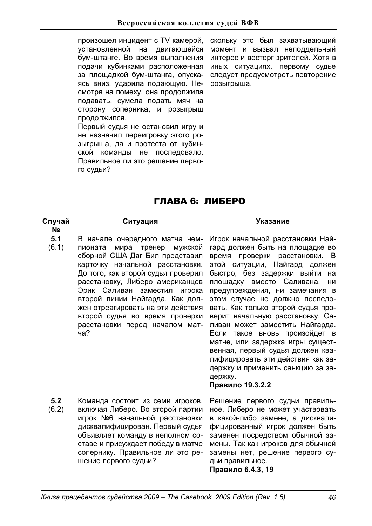произошел инцидент с TV камерой, установленной на двигающейся бум-штанге. Во время выполнения подачи кубинками расположенная за площадкой бум-штанга, опускаясь вниз, ударила подающую. Несмотря на помеху, она продолжила подавать, сумела подать мяч на сторону соперника, и розыгрыш продолжился. Первый судья не остановил игру и не назначил переигровку этого розыгрыша, да и протеста от кубин-

ской команды не последовало. Правильное ли это решение перво-

момент и вызвал неподдельный интерес и восторг зрителей. Хотя в иных ситуациях, первому судье следует предусмотреть повторение розыгрыша.

скольку это был захватывающий

# ГЛАВА 6: ЛИБЕРО

# **Случай**

### Ситуация Указание

- **ʋ**
	- **5.1**

го судьи?

- (6.1) В начале очередного матча чемпионата мира тренер мужской
	- сборной США Даг Бил представил карточку начальной расстановки. До того, как второй судья проверил расстановку, Либеро американцев Эрик Саливан заместил игрока второй линии Найгарда. Как должен отреагировать на эти действия второй судья во время проверки расстановки перед началом матua?

Игрок начальной расстановки Найгард должен быть на площадке во время проверки расстановки. В этой ситуации, Найгард должен быстро, без задержки выйти на площадку вместо Саливана, ни предупреждения, ни замечания в этом случае не должно последовать. Как только второй судья проверит начальную расстановку, Саливан может заместить Найгарда. Если такое вновь произойдет в матче, или задержка игры существенная, первый судья должен квалифицировать эти действия как задержку и применить санкцию за задержку.

# Правило 19.3.2.2

**5.2**  (6.2) Команда состоит из семи игроков. включая Либеро. Во второй партии игрок №6 начальной расстановки дисквалифицирован. Первый судья объявляет команду в неполном составе и присуждает победу в матче сопернику. Правильное ли это решение первого судьи?

Решение первого судьи правильное. Либеро не может участвовать в какой-либо замене, а дисквалифицированный игрок должен быть заменен посредством обычной замены. Так как игроков для обычной замены нет, решение первого судьи правильное.

Правило 6.4.3, 19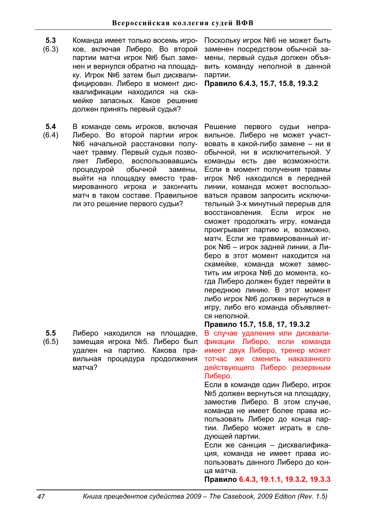- **5.3**  (6.3) Команда имеет только восемь игроков, включая Либеро. Во второй партии матча игрок №6 был заменен и вернулся обратно на площадку. Игрок №6 затем был дисквалифицирован. Либеро в момент дисквалификации находился на скамейке запасных. Какое решение должен принять первый судья?
- **5.4**  (6.4) В команде семь игроков, включая Либеро. Во второй партии игрок №6 начальной расстановки получает травму. Первый судья позволяет Либеро, воспользовавшись процедурой обычной замены. выйти на площадку вместо травмированного игрока и закончить матч в таком составе. Правильное ли это решение первого судьи?

**5.5**  (6.5) Либеро находился на площадке, замещая игрока №5. Либеро был удален на партию. Какова правильная процедура продолжения матча?

Поскольку игрок №6 не может быть заменен посредством обычной замены, первый судья должен объявить команду неполной в данной партии.

Правило 6.4.3, 15.7, 15.8, 19.3.2

Решение первого судьи неправильное. Либеро не может участвовать в какой-либо замене - ни в обычной, ни в исключительной. У команды есть две возможности. Если в момент получения травмы игрок №6 находился в передней линии, команда может воспользоваться правом запросить исключительный 3-х минутный перерыв для восстановления. Если игрок не сможет продолжать игру, команда проигрывает партию и, возможно, матч. Если же травмированный игрок №6 – игрок задней линии, а Либеро в этот момент находится на скамейке, команда может заместить им игрока №6 до момента, когда Либеро должен будет перейти в переднюю линию. В этот момент либо игрок №6 должен вернуться в игру, либо его команда объявляется неполной.

# Правило 15.7, 15.8, 17, 19.3.2

В случае удаления или дисквалификации Либеро, если команда имеет двух Либеро, тренер может тотчас же сменить наказанного действующего Либеро резервным Либеро.

Если в команде один Либеро, игрок №5 должен вернуться на плошадку. заместив Либеро. В этом случае, команда не имеет более права использовать Либеро до конца партии. Либеро может играть в следующей партии.

Если же санкция - дисквалификация, команда не имеет права использовать данного Либеро до конца матча.

Правило 6.4.3, 19.1.1, 19.3.2, 19.3.3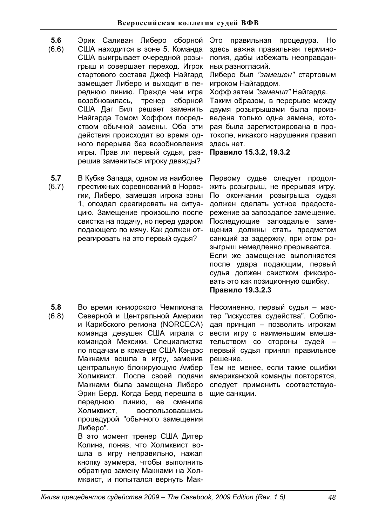- **5.6**  Эрик Саливан Либеро сборной
- (6.6) США находится в зоне 5. Команда США выигрывает очередной розыгрыш и совершает переход. Игрок стартового состава Джеф Найгард замещает Либеро и выходит в переднюю линию. Прежде чем игра возобновилась, тренер сборной США Даг Бил решает заменить Найгарда Томом Хоффом посредством обычной замены. Оба эти действия происходят во время одного перерыва без возобновления игры. Прав ли первый судья, разрешив замениться игроку дважды?

Это правильная процедура. Но здесь важна правильная терминология, дабы избежать неоправданных разногласий.

Либеро был "замещен" стартовым игроком Найгардом.

Хофф затем "заменил" Найгарда.

Таким образом, в перерыве между двумя розыгрышами была произведена только одна замена, которая была зарегистрирована в протоколе, никакого нарушения правил здесь нет.

Правило 15.3.2, 19.3.2

**5.7**  (6.7) В Кубке Запада, одном из наиболее престижных соревнований в Норвегии, Либеро, замещая игрока зоны 1, опоздал среагировать на ситуацию. Замещение произошло после свистка на подачу, но перед ударом подающего по мячу. Как должен отреагировать на это первый судья?

**5.8**  (6.8) Во время юниорского Чемпионата Северной и Центральной Америки и Карибского региона (NORCECA) команда девушек США играла с командой Мексики. Специалистка по подачам в команде США Кэндэс Макнами вошла в игру, заменив центральную блокирующую Амбер Холмквист. После своей подачи Макнами была замещена Либеро Эрин Берд. Когда Берд перешла в переднюю линию, ее сменила Холмквист, воспользовавшись процедурой "обычного замещения Либеро". В это момент тренер США Дитер

Колинз, поняв, что Холмквист вошла в игру неправильно, нажал кнопку зуммера, чтобы выполнить обратную замену Макнами на Холмквист, и попытался вернуть МакПервому судье следует продолжить розыгрыш, не прерывая игру. По окончании розыгрыша судья должен сделать устное предостережение за запоздалое замещение. Последующие запоздалые замещения должны стать предметом санкций за задержку, при этом розыгрыш немедленно прерывается. Если же замещение выполняется после удара подающим, первый судья должен свистком фиксировать это как позиционную ошибку. Правило 19.3.2.3

Несомненно, первый судья - мастер "искусства судейства". Соблюдая принцип - позволить игрокам вести игру с наименьшим вмешательством со стороны судей первый судья принял правильное решение.

Тем не менее, если такие ошибки американской команды повторятся, следует применить соответствующие санкции.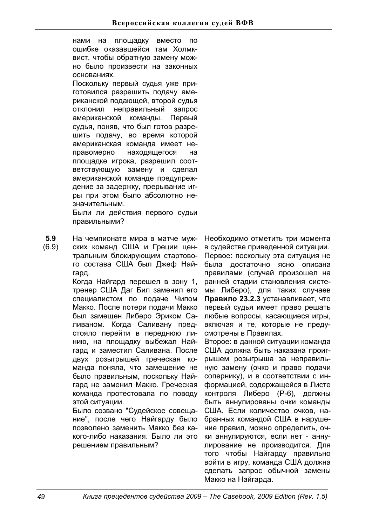нами на площадку вместо по ошибке оказавшейся там Холмквист, чтобы обратную замену можно было произвести на законных основаниях.

Поскольку первый судья уже приготовился разрешить подачу американской подающей, второй судья отклонил неправильный запрос американской команды. Первый судья, поняв, что был готов разрешить подачу, во время которой американская команда имеет неправомерно находящегося на площадке игрока, разрешил соответствующую замену и сделал американской команде предупреждение за задержку, прерывание игры при этом было абсолютно незначительным. Были ли действия первого судьи

правильными?

- **5.9**  На чемпионате мира в матче муж-
- (6.9) ских команд США и Греции центральным блокирующим стартового состава США был Джеф Найгард.

Когда Найгард перешел в зону 1, тренер США Даг Бил заменил его специалистом по подаче Чипом Макко. После потери подачи Макко был замещен Либеро Эриком Саливаном. Когда Саливану предстояло перейти в переднюю линию, на площадку выбежал Найгард и заместил Саливана. После двух розыгрышей греческая команда поняла, что замешение не было правильным, поскольку Найгард не заменил Макко. Греческая команда протестовала по поводу этой ситуации.

Было созвано "Судейское совещание", после чего Найгарду было позволено заменить Макко без какого-либо наказания. Было ли это решением правильным?

Необходимо отметить три момента в судействе приведенной ситуации. Первое: поскольку эта ситуация не была достаточно ясно описана правилами (случай произошел на ранней стадии становления системы Либеро), для таких случаев Правило 23.2.3 устанавливает, что первый судья имеет право решать любые вопросы, касающиеся игры, включая и те, которые не предусмотрены в Правилах.

Второе: в данной ситуации команда США должна быть наказана проигрышем розыгрыша за неправильную замену (очко и право подачи сопернику), и в соответствии с информацией, содержащейся в Листе контроля Либеро (Р-6), должны быть аннулированы очки команды США. Если количество очков, набранных командой США в нарушение правил, можно определить, очки аннулируются, если нет - аннулирование не производится. Для того чтобы Найгарду правильно войти в игру, команда США должна сделать запрос обычной замены Макко на Найгарда.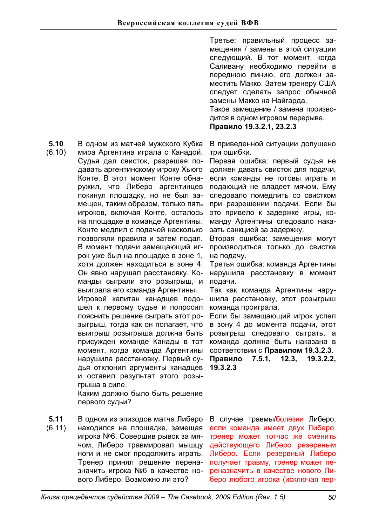Третье: правильный процесс замещения / замены в этой ситуации следующий. В тот момент, когда Саливану необходимо перейти в переднюю линию, его должен заместить Макко. Затем тренеру США следует сделать запрос обычной замены Макко на Найгарда.

Такое замещение / замена производится в одном игровом перерыве.

Правило 19.3.2.1, 23.2.3

В приведенной ситуации допущено три ошибки.

Первая ошибка: первый судья не должен давать свисток для подачи. если команды не готовы играть и подающий не владеет мячом. Ему следовало помедлить со свистком при разрешении подачи. Если бы это привело к задержке игры, команду Аргентины следовало наказать санкцией за задержку.

Вторая ошибка: замещения могут производиться только до свистка на подачу.

Третья ошибка: команда Аргентины нарушила расстановку в момент подачи.

Так как команда Аргентины нарушила расстановку, этот розыгрыш команда проиграла.

Если бы замещающий игрок успел в зону 4 до момента подачи, этот розыгрыш следовало сыграть, а команда должна быть наказана в соответствии с **Правилом 19.3.2.3**. **ɉɪɚɜɢɥɨ 7.5.1, 12.3, 19.3.2.2, 19.3.2.3** 

В случае травмы/болезни Либеро, если команда имеет двух Либеро. тренер может тотчас же сменить действующего Либеро резервным Либеро. Если резервный Либеро получает травму, тренер может переназначить в качестве нового Либеро любого игрока (исключая пер-

**5.10**  В одном из матчей мужского Кубка

(6.10) мира Аргентина играла с Канадой. Судья дал свисток, разрешая подавать аргентинскому игроку Хьюго Конте. В этот момент Конте обнаружил, что Либеро аргентинцев покинул площадку, но не был замещен, таким образом, только пять игроков, включая Конте, осталось на площадке в команде Аргентины. Конте медлил с подачей насколько позволяли правила и затем подал. В момент подачи замещающий игрок уже был на площадке в зоне 1, хотя должен находиться в зоне 4. Он явно нарушал расстановку. Команды сыграли это розыгрыш, и выиграла его команда Аргентины. Игровой капитан канадцев подо-

шел к первому судье и попросил пояснить решение сыграть этот розыгрыш, тогда как он полагает, что выигрыш розыгрыша должна быть присужден команде Канады в тот момент, когда команда Аргентины нарушила расстановку. Первый судья отклонил аргументы канадцев и оставил результат этого розыгрыша в силе.

Каким должно было быть решение первого судьи?

**5.11**  (6.11) В одном из эпизодов матча Либеро находился на площадке, замещая игрока №6. Совершив рывок за мячом, Либеро травмировал мышцу ноги и не смог продолжить играть. Тренер принял решение переназначить игрока №6 в качестве нового Либеро. Возможно ли это?

*Ʉɧɢɝɚɩɪɟɰɟɞɟɧɬɨɜɫɭɞɟɣɫɬɜɚ± The Casebook, 2009 Edition (Rev. 1.5) 50*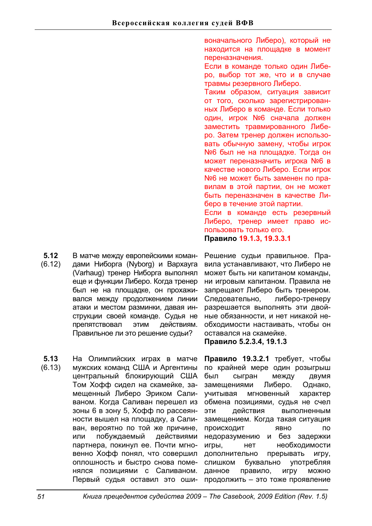**5.12**  (6.12) В матче между европейскими командами Ниборга (Nyborg) и Вархауга (Varhaug) тренер Ниборга выполнял еще и функции Либеро. Когда тренер был не на площадке, он прохаживался между продолжением линии атаки и местом разминки, давая инструкции своей команде. Судья не препятствовал этим действиям. Правильное ли это решение судьи?

**5.13**  (6.13) На Олимпийских играх в матче мужских команд США и Аргентины центральный блокирующий США Том Хофф сидел на скамейке, замешенный Либеро Эриком Саливаном. Когда Саливан перешел из зоны 6 в зону 5, Хофф по рассеянности вышел на площадку, а Саливан, вероятно по той же причине, или побуждаемый действиями партнера, покинул ее. Почти мгновенно Хофф понял, что совершил оплошность и быстро снова поменялся позициями с Саливаном. Первый судья оставил это оши-

воначального Либеро), который не находится на площадке в момент переназначения.

Если в команде только один Либеро, выбор тот же, что и в случае травмы резервного Либеро.

Таким образом, ситуация зависит от того, сколько зарегистрированных Либеро в команде. Если только один, игрок №6 сначала должен заместить травмированного Либеро. Затем тренер должен использовать обычную замену, чтобы игрок №6 был не на площадке. Тогда он может переназначить игрока №6 в качестве нового Либеро. Если игрок №6 не может быть заменен по правилам в этой партии, он не может быть переназначен в качестве Либеро в течение этой партии.

Если в команде есть резервный Либеро, тренер имеет право использовать только его. Правило 19.1.3, 19.3.3.1

Решение судьи правильное. Правила устанавливают, что Либеро не может быть ни капитаном команды, ни игровым капитаном. Правила не запрещают Либеро быть тренером. Следовательно, либеро-тренеру разрешается выполнять эти двойные обязанности, и нет никакой необходимости настаивать, чтобы он оставался на скамейке.

**ɉɪɚɜɢɥɨ 5.2.3.4, 19.1.3** 

Правило 19.3.2.1 требует, чтобы по крайней мере один розыгрыш был сыгран между двумя замещениями Либеро. Однако, учитывая мгновенный характер обмена позициями, судья не счел эти действия выполненным замещением. Когда такая ситуация ПРОИСХОДИТ ЯВНО ПО недоразумению и без задержки игры, нет необходимости дополнительно прерывать игру, слишком буквально употребляя данное правило, игру можно продолжить - это тоже проявление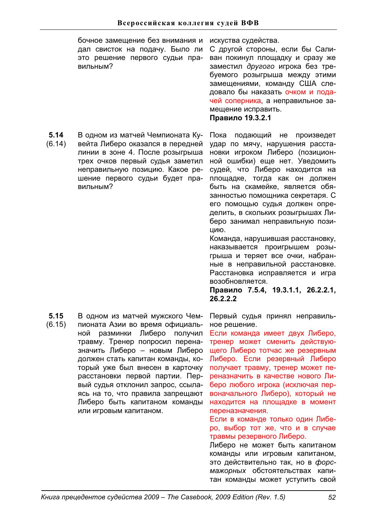бочное замещение без внимания и дал свисток на подачу. Было ли это решение первого судьи правильным?

**5.14**  В одном из матчей Чемпионата Ку-

(6.14) вейта Либеро оказался в передней линии в зоне 4. После розыгрыша трех очков первый судья заметил неправильную позицию. Какое решение первого судьи будет правильным?

Пока подающий не произведет удар по мячу, нарушения расстановки игроком Либеро (позиционной ошибки) еще нет. Уведомить судей, что Либеро находится на площадке, тогда как он должен быть на скамейке, является обязанностью помощника секретаря. С его помощью судья должен определить, в скольких розыгрышах Либеро занимал неправильную позишию.

С другой стороны, если бы Саливан покинул площадку и сразу же заместил другого игрока без требуемого розыгрыша между этими замещениями, команду США следовало бы наказать очком и подачей соперника, а неправильное за-

искуства судейства.

мещение исправить. **Правило 19.3.2.1** 

Команда, нарушившая расстановку, наказывается проигрышем розыгрыша и теряет все очки, набранные в неправильной расстановке. Расстановка исправляется и игра возобновляется.

Правило 7.5.4, 19.3.1.1, 26.2.2.1, **26.2.2.2** 

**5.15**  (6.15) В одном из матчей мужского Чемпионата Азии во время официальной разминки Либеро получил травму. Тренер попросил переназначить Либеро - новым Либеро должен стать капитан команды, который уже был внесен в карточку расстановки первой партии. Первый судья отклонил запрос, ссылаясь на то, что правила запрешают Либеро быть капитаном команды или игровым капитаном.

Первый судья принял неправильное решение.

Если команда имеет двух Либеро, тренер может сменить действующего Либеро тотчас же резервным Либеро. Если резервный Либеро получает травму, тренер может переназначить в качестве нового Либеро любого игрока (исключая первоначального Либеро), который не находится на площадке в момент переназначения.

Если в команде только один Либеро, выбор тот же, что и в случае травмы резервного Либеро.

Либеро не может быть капитаном команды или игровым капитаном, это действительно так, но в форс*мажорных* обстоятельствах капитан команды может уступить свой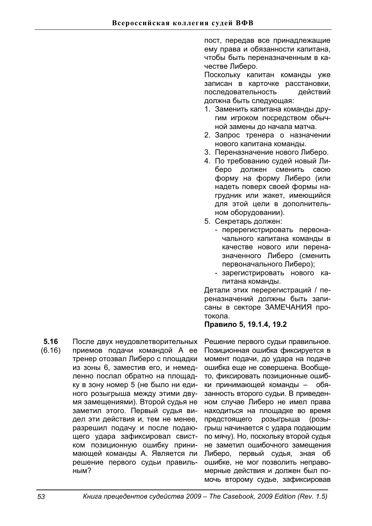пост, передав все принадлежащие ему права и обязанности капитана, чтобы быть переназначенным в качестве Либеро.

Поскольку капитан команды уже записан в карточке расстановки, последовательность действий должна быть следующая:

- 1. Заменить капитана команды другим игроком посредством обычной замены до начала матча.
- 2. Запрос тренера о назначении нового капитана команды.
- 3. Переназначение нового Либеро.
- 4. По требованию судей новый Либеро должен сменить свою форму на форму Либеро (или надеть поверх своей формы нагрудник или жакет, имеющийся для этой цели в дополнительном оборудовании).
- 5. Секретарь должен:
	- перерегистрировать первоначального капитана команды в качестве нового или переназначенного Либеро (сменить первоначального Либеро);
	- зарегистрировать нового капитана команды.

Детали этих перерегистраций / переназначений должны быть записаны в секторе ЗАМЕЧАНИЯ протокола.

# **Правило 5, 19.1.4, 19.2**

**5.16**  (6.16) После двух неудовлетворительных приемов подачи командой А ее тренер отозвал Либеро с площадки из зоны 6, заместив его, и немедленно послал обратно на площадку в зону номер 5 (не было ни единого розыгрыша между этими двумя замещениями). Второй судья не заметил этого. Первый судья видел эти действия и, тем не менее, разрешил подачу и после подающего удара зафиксировал свистком позиционную ошибку принимающей команды А. Является ли решение первого судьи правильным?

Решение первого судьи правильное. Позиционная ошибка фиксируется в момент подачи, до удара на подаче ошибка еще не совершена. Вообщето, фиксировать позиционные ошибки принимающей команды - обязанность второго судьи. В приведенном случае Либеро не имел права находиться на площадке во время предстоящего розыгрыша (розыгрыш начинается с удара подающим по мячу). Но, поскольку второй судья не заметил ошибочного замещения Либеро, первый судья, зная об ошибке, не мог позволить неправомерные действия и должен был помочь второму судье, зафиксировав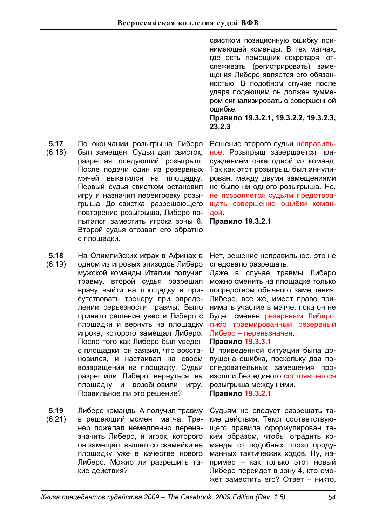**5.17**  По окончании розыгрыша Либеро

- (6.18) был замещен. Судья дал свисток, разрешая следующий розыгрыш. После подачи один из резервных мячей выкатился на площадку. Первый судья свистком остановил игру и назначил переигровку розыгрыша. До свистка, разрешающего повторение розыгрыша, Либеро попытался заместить игрока зоны 6. Второй судья отозвал его обратно с плошадки.
- **5.18**  На Олимпийских играх в Афинах в
- (6.19) одном из игровых эпизодов Либеро мужской команды Италии получил травму, второй судья разрешил врачу выйти на площадку и присутствовать тренеру при определении серьезности травмы. Было принято решение увести Либеро с площадки и вернуть на площадку игрока, которого замещал Либеро. После того как Либеро был уведен с площадки, он заявил, что восстановился, и настаивал на своем возвращении на площадку. Судьи разрешили Либеро вернуться на площадку и возобновили игру. Правильное ли это решение?
- **5.19**  Либеро команды А получил травму
- (6.21) в решающий момент матча. Тренер пожелал немедленно переназначить Либеро, и игрок, которого он замещал, вышел со скамейки на площадку уже в качестве нового Либеро. Можно ли разрешить такие действия?

свистком позиционную ошибку принимающей команды. В тех матчах, где есть помощник секретаря, отслеживать (регистрировать) замещения Либеро является его обязанностью. В подобном случае после удара подающим он должен зуммером сигнализировать о совершенной ошибке.

**ɉɪɚɜɢɥɨ 19.3.2.1, 19.3.2.2, 19.3.2.3, 23.2.3**

Решение второго судьи неправильное. Розыгрыш завершается присуждением очка одной из команд. Так как этот розыгрыш был аннулирован, между двумя замещениями не было ни одного розыгрыша. Но, не позволяется судьям предотвращать совершение ошибки командой.

**Правило 19.3.2.1** 

Нет, решение неправильное, это не следовало разрешать.

Даже в случае травмы Либеро можно сменить на площадке только посредством обычного замещения. Либеро, все же, имеет право принимать участие в матче, пока он не будет сменен резервным Либеро, либо травмированный резервный Либеро – переназначен

# Правило 19.3.3.1

В приведенной ситуации была допущена ошибка, поскольку два последовательных замещения произошли без единого состоявшегося розыгрыша между ними.

Правило 19.3.2.1

Судьям не следует разрешать такие действия. Текст соответствующего правила сформулирован таким образом, чтобы оградить команды от подобных плохо продуманных тактических ходов. Ну, например – как только этот новый Либеро перейдет в зону 4, кто сможет заместить его? Ответ - никто.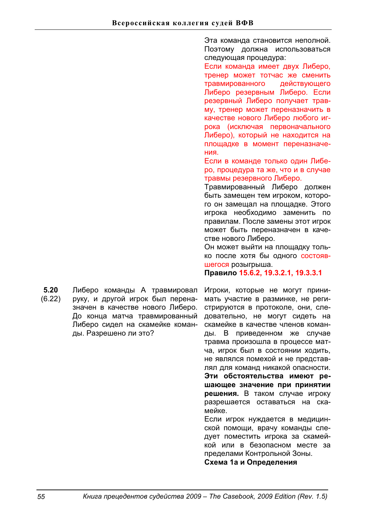Эта команда становится неполной. Поэтому должна использоваться следующая процедура:

Если команда имеет двух Либеро. тренер может тотчас же сменить травмированного действующего Либеро резервным Либеро. Если резервный Либеро получает травму, тренер может переназначить в качестве нового Либеро любого игрока (исключая первоначального Либеро), который не находится на площадке в момент переназначения.

Если в команде только один Либеро, процедура та же, что и в случае травмы резервного Либеро.

Травмированный Либеро должен быть замещен тем игроком, которого он замещал на площадке. Этого игрока необходимо заменить по правилам. После замены этот игрок может быть переназначен в качестве нового Либеро.

Он может выйти на площадку только после хотя бы одного состоявшегося розыгрыша.

**ɉɪɚɜɢɥɨ15.6.2, 19.3.2.1, 19.3.3.1**

**5.20**  (6.22) руку, и другой игрок был переназначен в качестве нового Либеро. До конца матча травмированный Либеро сидел на скамейке команды. Разрешено ли это?

Игроки, которые не могут принимать участие в разминке, не регистрируются в протоколе, они, следовательно, не могут сидеть на скамейке в качестве членов команды. В приведенном же случае травма произошла в процессе матча, игрок был в состоянии ходить, не являлся помехой и не представлял для команд никакой опасности. Эти обстоятельства имеют решающее значение при принятии **решения.** В таком случае игроку разрешается оставаться на скамейке. Если игрок нуждается в медицинской помощи, врачу команды следует поместить игрока за скамей-

кой или в безопасном месте за пределами Контрольной Зоны.

Схема 1а и Определения

Либеро команды А травмировал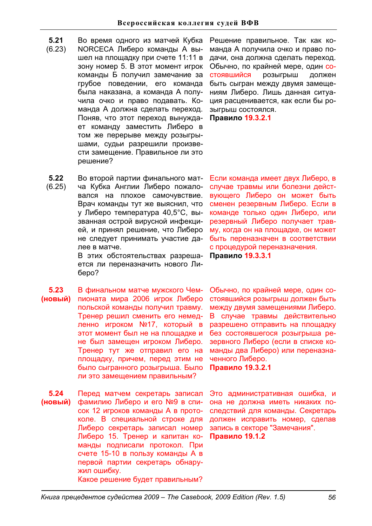- **5.21**  Во время одного из матчей Кубка
- (6.23) NORCECA Либеро команды А вышел на площадку при счете 11:11 в зону номер 5. В этот момент игрок команды Б получил замечание за грубое поведении, его команда была наказана, а команда А получила очко и право подавать. Команда А должна сделать переход. Поняв, что этот переход вынуждает команду заместить Либеро в том же перерыве между розыгрышами, судьи разрешили произвести замещение. Правильное ли это решение?

Решение правильное. Так как команда А получила очко и право подачи, она должна сделать переход. Обычно, по крайней мере, один состоявшийся розыгрыш должен быть сыгран между двумя замещениям Либеро. Лишь данная ситуация расценивается, как если бы розыгрыш состоялся.

Правило 19.3.2.1

**5.22**  (6.25) Во второй партии финального матча Кубка Англии Либеро пожаловался на плохое самочувствие. Врач команды тут же выяснил, что у Либеро температура 40,5°С, вызванная острой вирусной инфекцией, и принял решение, что Либеро не следует принимать участие далее в матче.

В этих обстоятельствах разрешается ли переназначить нового Либеро?

**5.23**   $(HOBBI\breve{M})$ В финальном матче мужского Чемпионата мира 2006 игрок Либеро польской команды получил травму. Тренер решил сменить его немедленно игроком №17, который в этот момент был не на площадке и не был замещен игроком Либеро. Тренер тут же отправил его на плошадку, причем, перед этим не было сыгранного розыгрыша. Было ли это замещением правильным?

**5.24**  (новый) Перед матчем секретарь записал фамилию Либеро и его №9 в список 12 игроков команды А в протоколе. В специальной строке для Либеро секретарь записал номер Либеро 15. Тренер и капитан команды подписали протокол. При счете 15-10 в пользу команды А в первой партии секретарь обнаружил ошибку. Какое решение будет правильным?

Если команда имеет двух Либеро, в случае травмы или болезни действующего Либеро он может быть сменен резервным Либеро. Если в команде только один Либеро, или резервный Либеро получает травму, когда он на площадке, он может быть переназначен в соответствии с процедурой переназначения. Правило 19.3.3.1

Обычно, по крайней мере, один состоявшийся розыгрыш должен быть между двумя замещениями Либеро. В случае травмы действительно разрешено отправить на площадку без состоявшегося розыгрыша резервного Либеро (если в списке команды два Либеро) или переназначенного Либеро.

**Правило 19.3.2.1** 

Это административная ошибка, и она не должна иметь никаких последствий для команды. Секретарь должен исправить номер, сделав запись в секторе "Замечания". **Правило 19.1.2**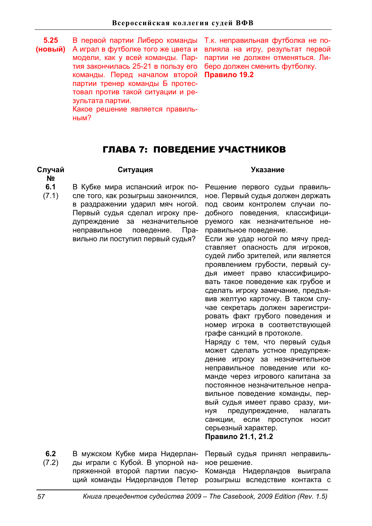**5.25 (ɧɨɜɵɣ)** В первой партии Либеро команды Т.к. неправильная футболка не по-А играл в футболке того же цвета и модели, как у всей команды. Партия закончилась 25-21 в пользу его команды. Перед началом второй партии тренер команды Б протестовал против такой ситуации и результата партии. Какое решение является правильным?

влияла на игру, результат первой партии не должен отменяться. Либеро должен сменить футболку. **Правило 19.2** 

# ГЛАВА 7: ПОВЕДЕНИЕ УЧАСТНИКОВ

### **Случай ʋ**

### Ситуация Указание

**6.1**  (7.1) В Кубке мира испанский игрок после того, как розыгрыш закончился, в раздражении ударил мяч ногой. Первый судья сделал игроку предупреждение за незначительное неправильное поведение. Правильно ли поступил первый судья?

Решение первого судьи правильное. Первый судья должен держать под своим контролем случаи подобного поведения, классифицируемого как незначительное неправильное поведение.

Если же удар ногой по мячу представляет опасность для игроков, судей либо зрителей, или является проявлением грубости, первый судья имеет право классифицировать такое поведение как грубое и сделать игроку замечание, предъявив желтую карточку. В таком случае секретарь должен зарегистрировать факт грубого поведения и номер игрока в соответствующей графе санкций в протоколе.

Наряду с тем, что первый судья может сделать устное предупреждение игроку за незначительное неправильное поведение или команде через игрового капитана за постоянное незначительное неправильное поведение команды, первый судья имеет право сразу, минуя предупреждение, налагать санкции, если проступок носит серьезный характер.

# **ɉɪɚɜɢɥɨ21.1, 21.2**

**6.2**  (7.2) В мужском Кубке мира Нидерланды играли с Кубой. В упорной напряженной второй партии пасующий команды Нидерландов Петер розыгрыш вследствие контакта с Первый судья принял неправильное решение. Команда Нидерландов выиграла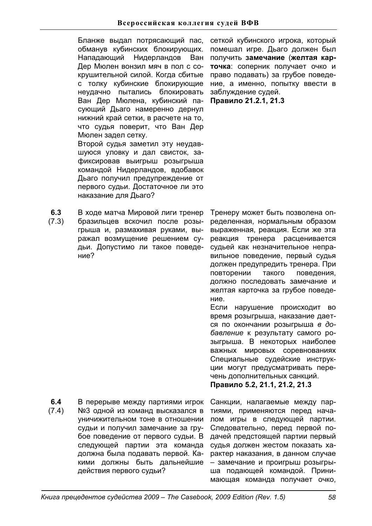Бланже выдал потрясающий пас, обманув кубинских блокирующих. Нападающий Нидерландов Ван Дер Мюлен вонзил мяч в пол с сокрушительной силой. Когда сбитые с толку кубинские блокирующие неудачно пытались блокировать Ван Дер Мюлена, кубинский пасующий Дьаго намеренно дернул нижний край сетки, в расчете на то, что судья поверит, что Ван Дер Мюлен задел сетку. Второй судья заметил эту неудавшуюся уловку и дал свисток, зафиксировав выигрыш розыгрыша командой Нидерландов, вдобавок Дьаго получил предупреждение от первого судьи. Достаточное ли это наказание для Дьаго?

**6.3**  (7.3) В ходе матча Мировой лиги тренер бразильцев вскочил после розыгрыша и, размахивая руками, выражал возмущение решением судьи. Допустимо ли такое поведение?

сеткой кубинского игрока, который помешал игре. Дьаго должен был получить замечание (желтая карточка: соперник получает очко и право подавать) за грубое поведение, а именно, попытку ввести в заблуждение судей.

**ɉɪɚɜɢɥɨ21.2.1, 21.3**

Тренеру может быть позволена определенная, нормальным образом выраженная, реакция. Если же эта реакция тренера расценивается судьей как незначительное неправильное поведение, первый судья должен предупредить тренера. При повторении такого поведения, должно последовать замечание и желтая карточка за грубое поведение.

Если нарушение происходит во время розыгрыша, наказание дается по окончании розыгрыша в до*бавление к результату самого ро*зыгрыша. В некоторых наиболее важных мировых соревнованиях Специальные судейские инструкции могут предусматривать перечень дополнительных санкций.

Правило 5.2, 21.1, 21.2, 21.3

**6.4**  (7.4) В перерыве между партиями игрок №3 одной из команд высказался в уничижительном тоне в отношении судьи и получил замечание за грубое поведение от первого судьи. В следующей партии эта команда должна была подавать первой. Какими должны быть дальнейшие действия первого судьи?

Санкции, налагаемые между партиями, применяются перед началом игры в следующей партии. Следовательно, перед первой подачей предстоящей партии первый судья должен жестом показать характер наказания, в данном случае - замечание и проигрыш розыгрыша подающей командой. Принимающая команда получает очко,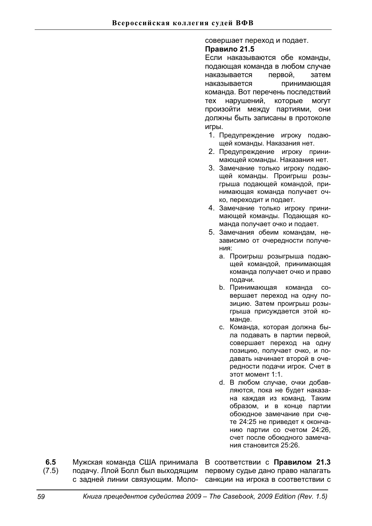### совершает переход и подает.

# Правило 21.5

Если наказываются обе команды, подающая команда в любом случае наказывается первой. затем наказывается принимающая команда. Вот перечень последствий тех нарушений, которые могут произойти между партиями, они должны быть записаны в протоколе игры.

- 1. Предупреждение игроку подающей команды. Наказания нет.
- 2. Предупреждение игроку принимающей команды. Наказания нет.
- 3. Замечание только игроку подающей команды. Проигрыш розыгрыша подающей командой, принимающая команда получает очко, переходит и подает.
- 4. Замечание только игроку принимающей команды. Подающая команда получает очко и подает.
- 5. Замечания обеим командам. независимо от очередности получения:
	- а. Проигрыш розыгрыша подающей командой, принимающая команда получает очко и право подачи.
	- b. Принимающая команда совершает переход на одну позицию. Затем проигрыш розыгрыша присуждается этой команде.
	- с. Команда, которая должна была подавать в партии первой, совершает переход на одну позицию, получает очко, и подавать начинает второй в очередности подачи игрок. Счет в этот момент 1:1.
	- d. В любом случае, очки добавляются, пока не будет наказана каждая из команд. Таким образом, и в конце партии обоюдное замечание при счете 24:25 не приведет к окончанию партии со счетом 24:26. счет после обоюдного замечания становится 25:26.
- **6.5**  (7.5) подачу. Ллой Болл был выходящим с задней линии связующим. Моло- санкции на игрока в соответствии с

Мужская команда США принимала В соответствии с **Правилом 21.3** первому судье дано право налагать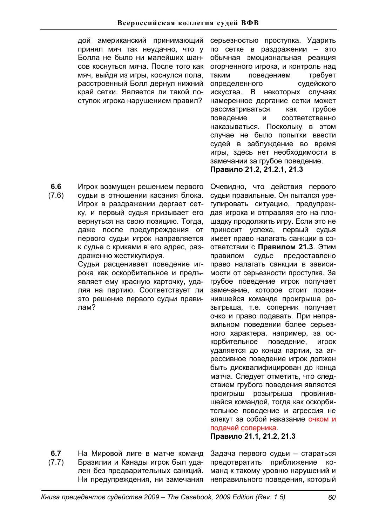дой американский принимающий принял мяч так неудачно, что у Болла не было ни малейших шансов коснуться мяча. После того как мяч, выйдя из игры, коснулся пола, расстроенный Болл дернул нижний край сетки. Является ли такой поступок игрока нарушением правил?

**6.6**  (7.6) Игрок возмущен решением первого судьи в отношении касания блока. Игрок в раздражении дергает сетку, и первый судья призывает его вернуться на свою позицию. Тогда, даже после предупреждения от первого судьи игрок направляется к судье с криками в его адрес, раздраженно жестикулируя.

> Судья расценивает поведение игрока как оскорбительное и предъявляет ему красную карточку, удаляя на партию. Соответствует ли это решение первого судьи правипам?

серьезностью проступка. Ударить по сетке в раздражении - это обычная эмоциональная реакция огорченного игрока, и контроль над таким поведением требует определенного судейского искуства. В некоторых случаях намеренное дергание сетки может рассматриваться как грубое поведение и соответственно наказываться. Поскольку в этом случае не было попытки ввести судей в заблуждение во время игры, здесь нет необходимости в замечании за грубое поведение. Правило 21.2, 21.2.1, 21.3

Очевидно, что действия первого судьи правильные. Он пытался урегулировать ситуацию, предупреждая игрока и отправляя его на площадку продолжить игру. Если это не приносит успеха, первый судья имеет право налагать санкции в со**ответствии с Правилом 21.3. Этим** правилом судье предоставлено право налагать санкции в зависимости от серьезности проступка. За грубое поведение игрок получает замечание, которое стоит провинившейся команде проигрыша розыгрыша, т.е. соперник получает очко и право подавать. При неправильном поведении более серьезного характера, например, за оскорбительное поведение, игрок удаляется до конца партии, за агрессивное поведение игрок должен быть дисквалифицирован до конца матча. Следует отметить, что следствием грубого поведения является проигрыш розыгрыша провинившейся командой, тогда как оскорбительное поведение и агрессия не влекут за собой наказание очком и подачей соперника.

Правило 21.1, 21.2, 21.3

**6.7**  (7.7) На Мировой лиге в матче команд Бразилии и Канады игрок был удален без предварительных санкций. Ни предупреждения, ни замечания

Задача первого судьи - стараться предотвратить приближение команд к такому уровню нарушений и неправильного поведения, который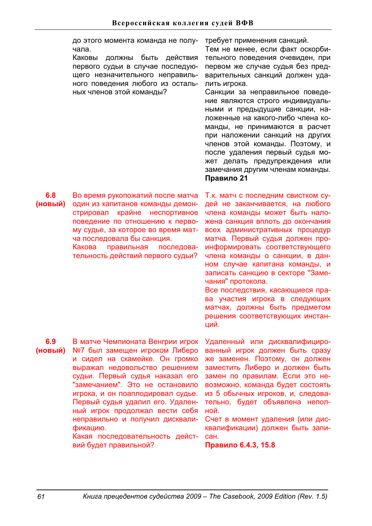до этого момента команда не получала.

Каковы должны быть действия первого судьи в случае последующего незначительного неправильного поведения любого из остальных членов этой команды?

требует применения санкций.

Тем не менее, если факт оскорбительного поведения очевиден, при первом же случае судья без предварительных санкций должен удалить игрока.

Санкции за неправильное поведение являются строго индивидуальными и предыдущие санкции, наложенные на какого-либо члена команды, не принимаются в расчет при наложении санкций на других членов этой команды. Поэтому, и после удаления первый судья может делать предупреждения или замечания другим членам команды. Правило 21

**6.8**   $(HOBBI**й**)$ Во время рукопожатий после матча один из капитанов команды демонстрировал крайне неспортивное поведение по отношению к первому судье, за которое во время матча последовала бы санкция.

Какова правильная последовательность действий первого судьи?

Т.к. матч с последним свистком судей не заканчивается, на любого члена команды может быть наложена санкция вплоть до окончания всех административных процедур матча. Первый судья должен проинформировать соответствующего члена команды о санкции, в данном случае капитана команды, и записать санкцию в секторе "Замечания" протокола.

Все последствия, касающиеся права участия игрока в следующих матчах, должны быть предметом решения соответствующих инстанций.

**6.9 (ɧɨɜɵɣ)** 

В матче Чемпионата Венгрии игрок №7 был замещен игроком Либеро и сидел на скамейке. Он громко выражал недовольство решением судьи. Первый судья наказал его "замечанием". Это не остановило игрока, и он поаплодировал судье. Первый судья удалил его. Удаленный игрок продолжал вести себя неправильно и получил дисквалификацию.

Какая последовательность действий будет правильной?

Удаленный или дисквалифицированный игрок должен быть сразу же заменен. Поэтому, он должен заместить Либеро и должен быть замен по правилам. Если это невозможно, команда будет состоять из 5 обычных игроков. и. следовательно, будет объявлена неполной.

Счет в момент удаления (или дисквалификации) должен быть записан.

**Правило 6.4.3, 15.8**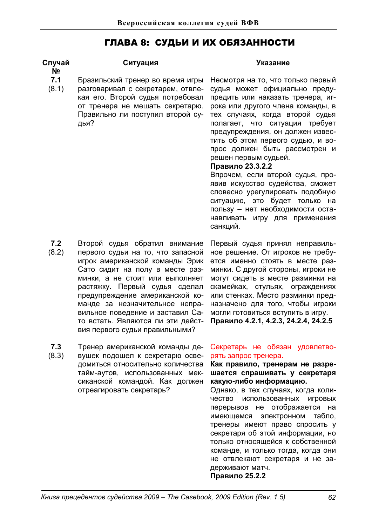# ГЛАВА 8: СУДЬИ И ИХ ОБЯЗАННОСТИ

# Случай **ʋ**

# Ситуация Указание

- **7.1**  Бразильский тренер во время игры
- (8.1) разговаривал с секретарем, отвлекая его. Второй судья потребовал от тренера не мешать секретарю. Правильно ли поступил второй судья?

Несмотря на то, что только первый судья может официально предупредить или наказать тренера, игрока или другого члена команды, в тех случаях, когда второй судья полагает, что ситуация требует предупреждения, он должен известить об этом первого судью, и вопрос должен быть рассмотрен и решен первым судьей.

# Правило 23.3.2.2

Впрочем, если второй судья, проявив искусство судейства, сможет словесно урегулировать подобную ситуацию, это будет только на пользу - нет необходимости останавливать игру для применения санкций.

- **7.2**  (8.2) Второй судья обратил внимание первого судьи на то, что запасной игрок американской команды Эрик Сато сидит на полу в месте разминки, а не стоит или выполняет растяжку. Первый судья сделал предупреждение американской команде за незначительное неправильное поведение и заставил Сато встать. Являются ли эти действия первого судьи правильными?
- **7.3**  (8.3) Тренер американской команды девушек подошел к секретарю осведомиться относительно количества тайм-аутов, использованных мексиканской командой. Как должен отреагировать секретарь?

Первый судья принял неправильное решение. От игроков не требуется именно стоять в месте разминки. С другой стороны, игроки не могут сидеть в месте разминки на скамейках, стульях, ограждениях или стенках. Место разминки предназначено для того, чтобы игроки могли готовиться вступить в игру. Правило 4.2.1, 4.2.3, 24.2.4, 24.2.5

# Секретарь не обязан удовлетворять запрос тренера.

Как правило, тренерам не разрешается спрашивать у секретаря **ɤɚɤɭɸ-ɥɢɛɨ ɢɧɮɨɪɦɚɰɢɸ.** 

Однако, в тех случаях, когда количество использованных игровых перерывов не отображается на имеющемся электронном табло, тренеры имеют право спросить у секретаря об этой информации, но только относящейся к собственной команде, и только тогда, когда они не отвлекают секретаря и не задерживают матч.

Правило 25.2.2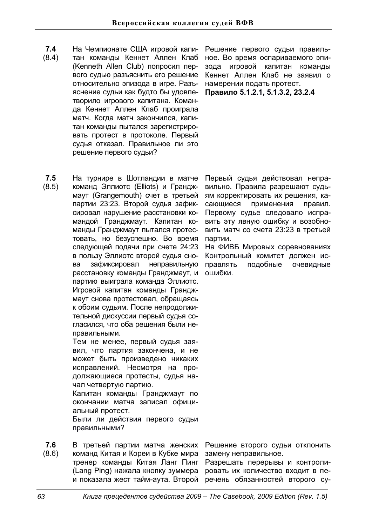- **7.4**  (8.4) На Чемпионате США игровой капитан команды Кеннет Аллен Клаб (Kenneth Allen Club) попросил первого судью разъяснить его решение относительно эпизода в игре. Разъяснение судьи как будто бы удовлетворило игрового капитана. Команда Кеннет Аллен Клаб проиграла матч. Когда матч закончился, капитан команды пытался зарегистрировать протест в протоколе. Первый судья отказал. Правильное ли это решение первого судьи?
- **7.5**  (8.5) На турнире в Шотландии в матче команд Эллиотс (Elliots) и Гранджмаут (Grangemouth) счет в третьей партии 23:23. Второй судья зафиксировал нарушение расстановки командой Гранджмаут. Капитан команды Гранджмаут пытался протестовать, но безуспешно. Во время следующей подачи при счете 24:23 в пользу Эллиотс второй судья снова зафиксировал неправильную расстановку команды Гранджмаут, и партию выиграла команда Эллиотс. Игровой капитан команды Гранджмаут снова протестовал, обращаясь к обоим судьям. После непродолжительной дискуссии первый судья согласился, что оба решения были неправильными.

Тем не менее, первый судья заявил, что партия закончена, и не может быть произведено никаких исправлений. Несмотря на продолжающиеся протесты, судья начал четвертую партию.

Капитан команды Гранджмаут по окончании матча записал официальный протест.

Были ли действия первого судьи правильными?

**7.6**  (8.6) В третьей партии матча женских команд Китая и Кореи в Кубке мира тренер команды Китая Ланг Пинг (Lang Ping) нажала кнопку зуммера

Решение первого судьи правильное. Во время оспариваемого эпизода игровой капитан команды Кеннет Аллен Клаб не заявил о намерении подать протест. Правило 5.1.2.1, 5.1.3.2, 23.2.4

Первый судья действовал неправильно. Правила разрешают судьям корректировать их решения, касающиеся применения правил. Первому судье следовало исправить эту явную ошибку и возобновить матч со счета 23:23 в третьей партии.

На ФИВБ Мировых соревнованиях Контрольный комитет должен исправлять подобные очевидные ошибки.

Решение второго судьи отклонить замену неправильное.

и показала жест тайм-аута. Второй речень обязанностей второго су-Разрешать перерывы и контролировать их количество входит в пе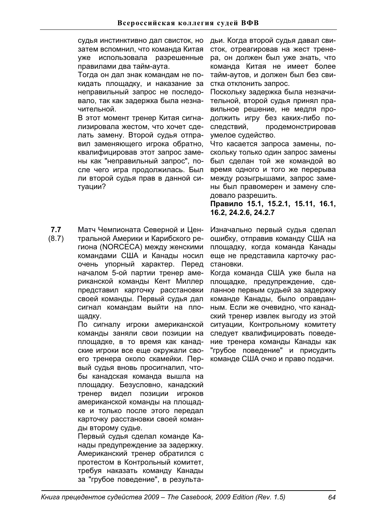судья инстинктивно дал свисток, но затем вспомнил, что команда Китая уже использовала разрешенные правилами два тайм-аута.

Тогда он дал знак командам не покидать площадку, и наказание за неправильный запрос не последовало, так как задержка была незначительной.

В этот момент тренер Китая сигнализировала жестом, что хочет сделать замену. Второй судья отправил заменяющего игрока обратно, квалифицировав этот запрос замены как "неправильный запрос". после чего игра продолжилась. Был ли второй судья прав в данной ситуации?

**7.7**  (8.7) Матч Чемпионата Северной и Центральной Америки и Карибского региона (NORCECA) между женскими командами США и Канады носил очень упорный характер. Перед началом 5-ой партии тренер американской команды Кент Миллер представил карточку расстановки своей команды. Первый судья дал сигнал командам выйти на площадку.

По сигналу игроки американской команды заняли свои позиции на площадке, в то время как канадские игроки все еще окружали своего тренера около скамейки. Первый судья вновь просигналил, чтобы канадская команда вышла на площадку. Безусловно, канадский тренер видел позиции игроков американской команды на площадке и только после этого передал карточку расстановки своей команды второму судье.

Первый судья сделал команде Канады предупреждение за задержку. Американский тренер обратился с протестом в Контрольный комитет, требуя наказать команду Канады за "грубое поведение", в результадьи. Когда второй судья давал свисток, отреагировав на жест тренера, он должен был уже знать, что команда Китая не имеет более тайм-аутов, и должен был без свистка отклонить запрос.

Поскольку задержка была незначительной, второй судья принял правильное решение, не медля продолжить игру без каких-либо последствий, продемонстрировав умелое судейство.

Что касается запроса замены, поскольку только один запрос замены был сделан той же командой во время одного и того же перерыва между розыгрышами, запрос замены был правомерен и замену следовало разрешить.

Правило 15.1, 15.2.1, 15.11, 16.1, **16.2, 24.2.6, 24.2.7** 

Изначально первый судья сделал ошибку, отправив команду США на площадку, когда команда Канады еще не представила карточку расстановки.

Когда команда США уже была на площадке, предупреждение, сделанное первым судьей за задержку команде Канады, было оправданным. Если же очевидно, что канадский тренер извлек выгоду из этой ситуации, Контрольному комитету следует квалифицировать поведение тренера команды Канады как "грубое поведение" и присудить команде США очко и право подачи.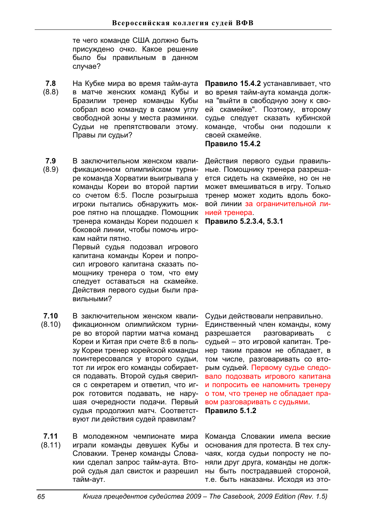те чего команде США должно быть присуждено очко. Какое решение было бы правильным в данном случае?

- **7.8**  (8.8) На Кубке мира во время тайм-аута в матче женских команд Кубы и Бразилии тренер команды Кубы собрал всю команду в самом углу свободной зоны у места разминки. Судьи не препятствовали этому. Правы ли судьи?
- **7.9**  (8.9) В заключительном женском квалификационном олимпийском турнире команда Хорватии выигрывала у команды Кореи во второй партии со счетом 6:5. После розыгрыша игроки пытались обнаружить мокрое пятно на площадке. Помощник тренера команды Кореи подошел к Правило 5.2.3.4, 5.3.1 боковой линии, чтобы помочь игрокам найти пятно.

Первый судья подозвал игрового капитана команды Кореи и попросил игрового капитана сказать помощнику тренера о том, что ему следует оставаться на скамейке. Действия первого судьи были правипьными?

- **7.10**  (8.10) В заключительном женском квалификационном олимпийском турнире во второй партии матча команд Кореи и Китая при счете 8:6 в пользу Кореи тренер корейской команды поинтересовался у второго судьи, тот ли игрок его команды собирается подавать. Второй судья сверился с секретарем и ответил, что игрок готовится подавать, не нарушая очередности подачи. Первый судья продолжил матч. Соответствуют ли действия судей правилам?
- **7.11**  (8.11) В молодежном чемпионате мира играли команды девушек Кубы и Словакии. Тренер команды Словакии сделал запрос тайм-аута. Второй судья дал свисток и разрешил тайм-аут.

Правило 15.4.2 устанавливает, что во время тайм-аута команда должна "выйти в свободную зону к своей скамейке". Поэтому, второму судье следует сказать кубинской команде, чтобы они подошли к своей скамейке.

# **Правило 15.4.2**

Действия первого судьи правильные. Помощнику тренера разрешается сидеть на скамейке, но он не может вмешиваться в игру. Только тренер может ходить вдоль боковой линии за ограничительной линией тренера.

Судьи действовали неправильно.

Единственный член команды, кому разрешается разговаривать с судьей - это игровой капитан. Тренер таким правом не обладает, в том числе, разговаривать со вторым судьей. Первому судье следовало подозвать игрового капитана и попросить ее напомнить тренеру о том, что тренер не обладает правом разговаривать с судьями. Правило 5.1.2

Команда Словакии имела веские основания для протеста. В тех случаях, когда судьи попросту не поняли друг друга, команды не должны быть пострадавшей стороной, т.е. быть наказаны. Исходя из это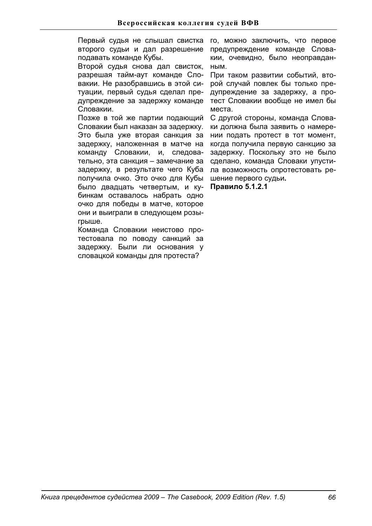Первый судья не слышал свистка второго судьи и дал разрешение подавать команде Кубы.

Второй судья снова дал свисток, разрешая тайм-аут команде Словакии. Не разобравшись в этой ситуации, первый судья сделал предупреждение за задержку команде Словакии.

Позже в той же партии подающий Словакии был наказан за задержку. Это была уже вторая санкция за задержку, наложенная в матче на команду Словакии, и, следовательно, эта санкция - замечание за задержку, в результате чего Куба получила очко. Это очко для Кубы было двадцать четвертым, и кубинкам оставалось набрать одно очко для победы в матче, которое они и выиграли в следующем розыгрыше.

Команда Словакии неистово протестовала по поводу санкций за задержку. Были ли основания у словацкой команды для протеста?

го, можно заключить, что первое предупреждение команде Словакии, очевидно, было неоправдан-HЫM.

При таком развитии событий, второй случай повлек бы только предупреждение за задержку, а протест Словакии вообще не имел бы места.

С другой стороны, команда Словаки должна была заявить о намерении подать протест в тот момент. когда получила первую санкцию за задержку. Поскольку это не было сделано, команда Словаки упустила возможность опротестовать реɲɟɧɢɟɩɟɪɜɨɝɨɫɭɞɶɢ**.**

**Правило 5.1.2.1**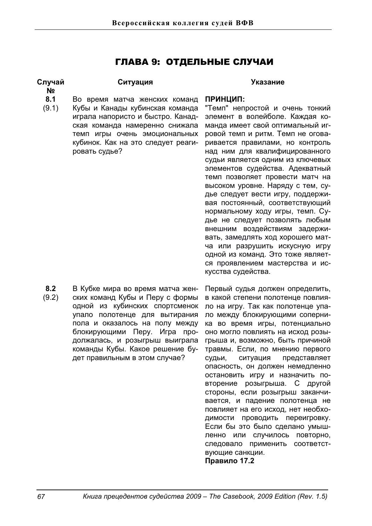# ГЛАВА 9: ОТДЕЛЬНЫЕ СЛУЧАИ

### **Случай ʋ**

# Ситуация Указание

- **8.1**  Во время матча женских команд
- (9.1) Кубы и Канады кубинская команда играла напористо и быстро. Канадская команда намеренно снижала темп игры очень эмоциональных кубинок. Как на это следует реагировать судье?

# ПРИНЦИП:

"Темп" непростой и очень тонкий элемент в волейболе. Каждая команда имеет свой оптимальный игровой темп и ритм. Темп не оговаривается правилами, но контроль над ним для квалифицированного судьи является одним из ключевых элементов судейства. Адекватный темп позволяет провести матч на высоком уровне. Наряду с тем, судье следует вести игру, поддерживая постоянный, соответствующий нормальному ходу игры, темп. Судье не следует позволять любым внешним воздействиям задерживать, замедлять ход хорошего матча или разрушить искусную игру одной из команд. Это тоже является проявлением мастерства и искусства судейства.

**8.2**  (9.2) В Кубке мира во время матча женских команд Кубы и Перу с формы одной из кубинских спортсменок упало полотенце для вытирания пола и оказалось на полу между блокирующими Перу. Игра продолжалась, и розыгрыш выиграла команды Кубы. Какое решение будет правильным в этом случае?

Первый судья должен определить, в какой степени полотенце повлияло на игру. Так как полотенце упало между блокирующими соперника во время игры, потенциально оно могло повлиять на исход розыгрыша и, возможно, быть причиной травмы. Если, по мнению первого судьи, ситуация представляет опасность, он должен немедленно остановить игру и назначить повторение розыгрыша. С другой стороны, если розыгрыш заканчивается, и падение полотенца не повлияет на его исход, нет необходимости проводить переигровку. Если бы это было сделано умышленно или случилось повторно, следовало применить соответствующие санкции. Правило 17.2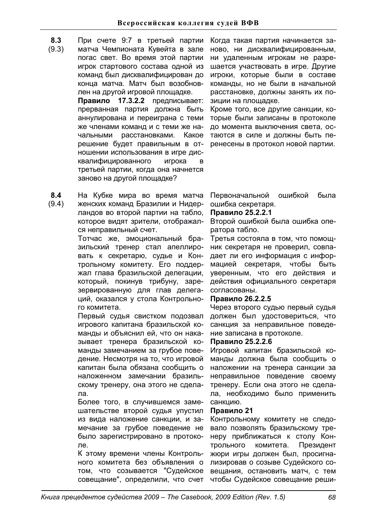- **8.3**  При счете 9:7 в третьей партии
- (9.3) матча Чемпионата Кувейта в зале погас свет. Во время этой партии игрок стартового состава одной из команд был дисквалифицирован до конца матча. Матч был возобновлен на другой игровой площадке. Правило 17.3.2.2 предписывает: прерванная партия должна быть аннулирована и переиграна с теми же членами команд и с теми же начальными расстановками. Какое решение будет правильным в отношении использования в игре дисквалифицированного игрока в третьей партии, когда она начнется заново на другой площадке?
- **8.4**  (9.4) На Кубке мира во время матча женских команд Бразилии и Нидерландов во второй партии на табло, которое видят зрители, отображал-

ся неправильный счет. Тотчас же, эмоциональный бра-

зильский тренер стал апеллировать к секретарю, судье и Контрольному комитету. Его поддержал глава бразильской делегации, который, покинув трибуну, зарезервированную для глав делегаций, оказался у стола Контрольного комитета.

Первый судья свистком подозвал игрового капитана бразильской команды и объяснил ей, что он наказывает тренера бразильской команды замечанием за грубое поведение. Несмотря на то, что игровой капитан была обязана сообщить о наложенном замечании бразильскому тренеру, она этого не сделалa.

Более того, в случившемся замешательстве второй судья упустил из вида наложение санкции, и замечание за грубое поведение не было зарегистрировано в протоколe.

К этому времени члены Контрольного комитета без объявления о том, что созывается "Судейское совещание", определили, что счет Когда такая партия начинается заново, ни дисквалифицированным, ни удаленным игрокам не разрешается участвовать в игре. Другие игроки, которые были в составе команды, но не были в начальной расстановке, должны занять их позиции на площадке.

Кроме того, все другие санкции, которые были записаны в протоколе до момента выключения света, остаются в силе и должны быть перенесены в протокол новой партии.

Первоначальной ошибкой была ошибка секретаря.

# **Правило 25.2.2.1**

Второй ошибкой была ошибка оператора табло.

Третья состояла в том, что помощник секретаря не проверил, совпадает ли его информация с информацией секретаря, чтобы быть уверенным, что его действия и действия официального секретаря согласованы.

# Правило 26.2.2.5

Через второго судью первый судья должен был удостовериться, что санкция за неправильное поведение записана в протоколе.

# Правило 25.2.2.6

Игровой капитан бразильской команды должна была сообщить о наложении на тренера санкции за неправильное поведение своему тренеру. Если она этого не сделала, необходимо было применить санкцию.

# Правило 21

Контрольному комитету не следовало позволять бразильскому тренеру приближаться к столу Контрольного комитета. Президент жюри игры должен был, просигнализировав о созыве Судейского совещания, остановить матч, с тем чтобы Судейское совещание реши-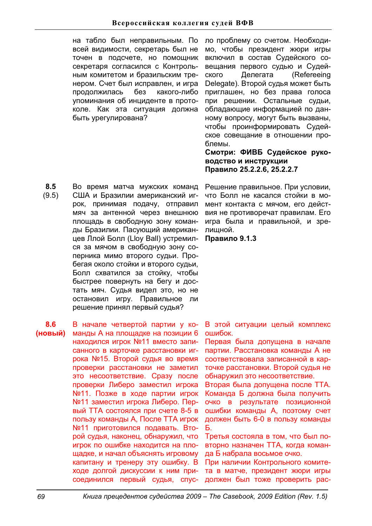на табло был неправильным. По всей видимости, секретарь был не точен в подсчете, но помощник секретаря согласился с Контрольным комитетом и бразильским тренером. Счет был исправлен, и игра продолжилась без какого-либо упоминания об инциденте в протоколе. Как эта ситуация должна быть урегулирована?

**8.5**  (9.5) Во время матча мужских команд США и Бразилии американский игрок, принимая подачу, отправил мяч за антенной через внешнюю площадь в свободную зону команды Бразилии. Пасующий американцев Ллой Болл (Lloy Ball) устремился за мячом в свободную зону соперника мимо второго судьи. Пробегая около стойки и второго судьи, Болл схватился за стойку, чтобы быстрее повернуть на бегу и достать мяч. Судья видел это, но не остановил игру. Правильное ли решение принял первый судья?

**8.6 (НОВЫЙ)** В начале четвертой партии у команды А на площадке на позиции 6 находился игрок №11 вместо записанного в карточке расстановки игрока №15. Второй судья во время проверки расстановки не заметил это несоответствие. Сразу после проверки Либеро заместил игрока №11. Позже в ходе партии игрок №11 заместил игрока Либеро. Первый TTA состоялся при счете 8-5 в пользу команды А, После ТТА игрок №11 приготовился подавать. Второй судья, наконец, обнаружил, что игрок по ошибке находится на площадке, и начал объяснять игровому капитану и тренеру эту ошибку. В ходе долгой дискуссии к ним присоединился первый судья, спус-

ло проблему со счетом. Необходимо, чтобы президент жюри игры включил в состав Судейского совещания первого судью и Судейского Делегата (Refereeing Delegate). Второй судья может быть приглашен, но без права голоса при решении. Остальные судьи, обладающие информацией по данному вопросу, могут быть вызваны, чтобы проинформировать Судейское совещание в отношении проблемы.

Смотри: ФИВБ Судейское руко-**ВОДСТВО И ИНСТРУКЦИИ** Правило 25.2.2.6, 25.2.2.7

Решение правильное. При условии, что Болл не касался стойки в момент контакта с мячом, его действия не противоречат правилам. Его игра была и правильной, и зрелишной.

 $П**равило** 9.1.3$ 

В этой ситуации целый комплекс **DIIIM<sub>DOK</sub>** 

Первая была допущена в начале партии. Расстановка команды А не соответствовала записанной в карточке расстановки. Второй судья не обнаружил это несоответствие.

Вторая была допущена после ТТА. Команда Б должна была получить очко в результате позиционной ошибки команды А, поэтому счет должен быть 6-0 в пользу команды  $\mathbf{E}$ 

Третья состояла в том, что был повторно назначен ТТА, когда команда Б набрала восьмое очко.

При наличии Контрольного комитета в матче, президент жюри игры должен был тоже проверить рас-